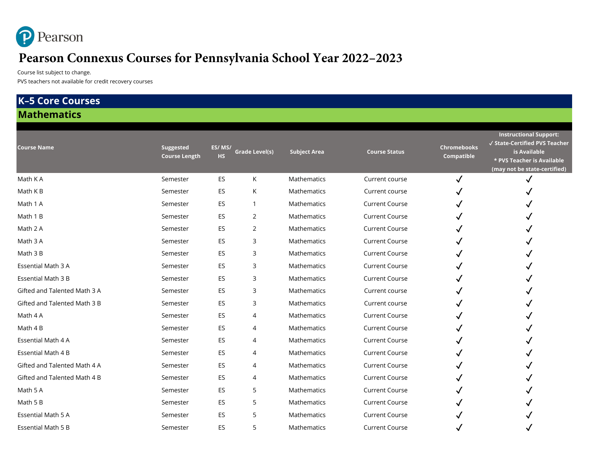

## **Pearson Connexus Courses for Pennsylvania School Year 2022–2023**

Course list subject to change.

PVS teachers not available for credit recovery courses

## **K–5 Core Courses**

#### **Mathematics**

| <b>Course Name</b>           | Suggested<br><b>Course Length</b> | ES/MS/<br><b>HS</b> | <b>Grade Level(s)</b> | <b>Subject Area</b> | <b>Course Status</b>  | <b>Chromebooks</b><br>Compatible | <b>Instructional Support:</b><br>√ State-Certified PVS Teacher<br>is Available<br>* PVS Teacher is Available<br>(may not be state-certified) |
|------------------------------|-----------------------------------|---------------------|-----------------------|---------------------|-----------------------|----------------------------------|----------------------------------------------------------------------------------------------------------------------------------------------|
| Math K A                     | Semester                          | ES                  | K                     | Mathematics         | Current course        | $\checkmark$                     |                                                                                                                                              |
| Math K B                     | Semester                          | ES                  | К                     | Mathematics         | Current course        |                                  |                                                                                                                                              |
| Math 1 A                     | Semester                          | ES                  | 1                     | Mathematics         | <b>Current Course</b> |                                  |                                                                                                                                              |
| Math 1 B                     | Semester                          | ES                  | 2                     | Mathematics         | <b>Current Course</b> |                                  |                                                                                                                                              |
| Math 2 A                     | Semester                          | ES                  | 2                     | Mathematics         | <b>Current Course</b> |                                  |                                                                                                                                              |
| Math 3 A                     | Semester                          | ES                  | 3                     | Mathematics         | <b>Current Course</b> |                                  |                                                                                                                                              |
| Math 3 B                     | Semester                          | ES                  | 3                     | Mathematics         | <b>Current Course</b> |                                  |                                                                                                                                              |
| Essential Math 3 A           | Semester                          | ES                  | 3                     | Mathematics         | <b>Current Course</b> |                                  |                                                                                                                                              |
| <b>Essential Math 3 B</b>    | Semester                          | ES                  | 3                     | Mathematics         | <b>Current Course</b> |                                  |                                                                                                                                              |
| Gifted and Talented Math 3 A | Semester                          | ES                  | 3                     | Mathematics         | Current course        |                                  |                                                                                                                                              |
| Gifted and Talented Math 3 B | Semester                          | ES                  | 3                     | Mathematics         | Current course        |                                  |                                                                                                                                              |
| Math 4 A                     | Semester                          | ES                  | 4                     | Mathematics         | <b>Current Course</b> |                                  |                                                                                                                                              |
| Math 4 B                     | Semester                          | ES                  | 4                     | Mathematics         | <b>Current Course</b> |                                  |                                                                                                                                              |
| Essential Math 4 A           | Semester                          | ES                  | 4                     | Mathematics         | <b>Current Course</b> |                                  |                                                                                                                                              |
| Essential Math 4 B           | Semester                          | ES                  | 4                     | Mathematics         | <b>Current Course</b> |                                  |                                                                                                                                              |
| Gifted and Talented Math 4 A | Semester                          | ES                  | 4                     | Mathematics         | <b>Current Course</b> |                                  |                                                                                                                                              |
| Gifted and Talented Math 4 B | Semester                          | ES                  | 4                     | Mathematics         | <b>Current Course</b> |                                  |                                                                                                                                              |
| Math 5 A                     | Semester                          | ES                  | 5                     | Mathematics         | <b>Current Course</b> |                                  |                                                                                                                                              |
| Math 5 B                     | Semester                          | ES                  | 5                     | Mathematics         | <b>Current Course</b> |                                  |                                                                                                                                              |
| Essential Math 5 A           | Semester                          | ES                  | 5                     | Mathematics         | <b>Current Course</b> |                                  |                                                                                                                                              |
| <b>Essential Math 5 B</b>    | Semester                          | ES                  | 5                     | Mathematics         | <b>Current Course</b> |                                  |                                                                                                                                              |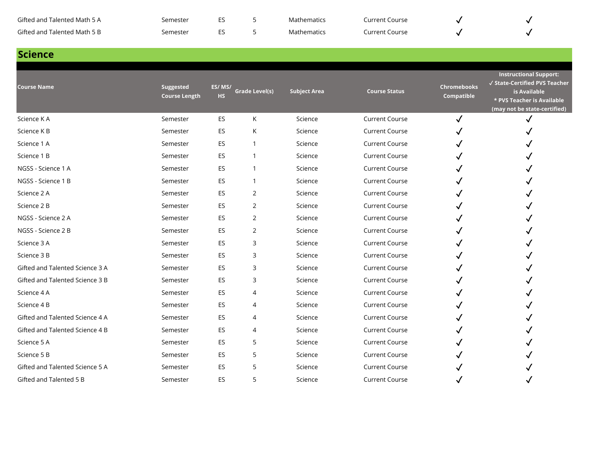| Gifted and Talented Math 5 A | Semester | $-$ | Mathematics | Current Course |  |
|------------------------------|----------|-----|-------------|----------------|--|
| Gifted and Talented Math 5 B | semester | $-$ | Mathematics | Current Course |  |

## **Science**

| <b>Course Name</b>              | Suggested<br><b>Course Length</b> | ES/MS/<br><b>HS</b> | <b>Grade Level(s)</b> | <b>Subject Area</b> | <b>Course Status</b>  | <b>Chromebooks</b><br>Compatible | <b>Instructional Support:</b><br>√ State-Certified PVS Teacher<br>is Available<br>* PVS Teacher is Available<br>(may not be state-certified) |
|---------------------------------|-----------------------------------|---------------------|-----------------------|---------------------|-----------------------|----------------------------------|----------------------------------------------------------------------------------------------------------------------------------------------|
| Science KA                      | Semester                          | ES                  | K                     | Science             | <b>Current Course</b> |                                  |                                                                                                                                              |
| Science K B                     | Semester                          | ES                  | Κ                     | Science             | <b>Current Course</b> |                                  |                                                                                                                                              |
| Science 1 A                     | Semester                          | ES                  | 1                     | Science             | <b>Current Course</b> |                                  |                                                                                                                                              |
| Science 1 B                     | Semester                          | ES                  |                       | Science             | <b>Current Course</b> |                                  |                                                                                                                                              |
| NGSS - Science 1 A              | Semester                          | ES                  |                       | Science             | <b>Current Course</b> |                                  |                                                                                                                                              |
| NGSS - Science 1 B              | Semester                          | ES                  | 1                     | Science             | <b>Current Course</b> |                                  |                                                                                                                                              |
| Science 2 A                     | Semester                          | ES                  | 2                     | Science             | <b>Current Course</b> |                                  |                                                                                                                                              |
| Science 2 B                     | Semester                          | ES                  | 2                     | Science             | <b>Current Course</b> |                                  |                                                                                                                                              |
| NGSS - Science 2 A              | Semester                          | ES                  | 2                     | Science             | <b>Current Course</b> |                                  |                                                                                                                                              |
| NGSS - Science 2 B              | Semester                          | ES                  | 2                     | Science             | <b>Current Course</b> |                                  |                                                                                                                                              |
| Science 3 A                     | Semester                          | ES                  | 3                     | Science             | <b>Current Course</b> |                                  |                                                                                                                                              |
| Science 3 B                     | Semester                          | ES                  | 3                     | Science             | <b>Current Course</b> |                                  |                                                                                                                                              |
| Gifted and Talented Science 3 A | Semester                          | ES                  | 3                     | Science             | <b>Current Course</b> |                                  |                                                                                                                                              |
| Gifted and Talented Science 3 B | Semester                          | ES                  | 3                     | Science             | <b>Current Course</b> |                                  |                                                                                                                                              |
| Science 4 A                     | Semester                          | ES                  | 4                     | Science             | <b>Current Course</b> |                                  |                                                                                                                                              |
| Science 4 B                     | Semester                          | ES                  | 4                     | Science             | <b>Current Course</b> |                                  |                                                                                                                                              |
| Gifted and Talented Science 4 A | Semester                          | ES                  | 4                     | Science             | <b>Current Course</b> |                                  |                                                                                                                                              |
| Gifted and Talented Science 4 B | Semester                          | ES                  | 4                     | Science             | <b>Current Course</b> |                                  |                                                                                                                                              |
| Science 5 A                     | Semester                          | ES                  | 5                     | Science             | <b>Current Course</b> |                                  |                                                                                                                                              |
| Science 5 B                     | Semester                          | ES                  | 5                     | Science             | <b>Current Course</b> |                                  |                                                                                                                                              |
| Gifted and Talented Science 5 A | Semester                          | ES                  | 5                     | Science             | <b>Current Course</b> |                                  |                                                                                                                                              |
| Gifted and Talented 5 B         | Semester                          | ES                  | 5                     | Science             | <b>Current Course</b> |                                  |                                                                                                                                              |
|                                 |                                   |                     |                       |                     |                       |                                  |                                                                                                                                              |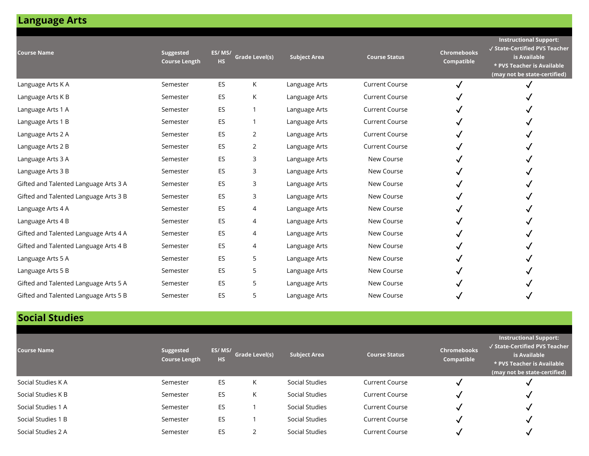| <b>Language Arts</b> |  |
|----------------------|--|
|----------------------|--|

| <b>Course Name</b>                    | <b>Suggested</b><br><b>Course Length</b> | ES/MS/<br><b>HS</b> | <b>Grade Level(s)</b> | <b>Subject Area</b> | <b>Course Status</b>  | <b>Chromebooks</b><br>Compatible | <b>Instructional Support:</b><br>√ State-Certified PVS Teacher<br>is Available<br>* PVS Teacher is Available<br>(may not be state-certified) |
|---------------------------------------|------------------------------------------|---------------------|-----------------------|---------------------|-----------------------|----------------------------------|----------------------------------------------------------------------------------------------------------------------------------------------|
| Language Arts K A                     | Semester                                 | ES                  | K                     | Language Arts       | <b>Current Course</b> |                                  |                                                                                                                                              |
| Language Arts K B                     | Semester                                 | ES                  | K                     | Language Arts       | <b>Current Course</b> |                                  |                                                                                                                                              |
| Language Arts 1 A                     | Semester                                 | ES                  | 1                     | Language Arts       | <b>Current Course</b> |                                  |                                                                                                                                              |
| Language Arts 1 B                     | Semester                                 | ES                  |                       | Language Arts       | <b>Current Course</b> |                                  |                                                                                                                                              |
| Language Arts 2 A                     | Semester                                 | ES                  | 2                     | Language Arts       | <b>Current Course</b> |                                  |                                                                                                                                              |
| Language Arts 2 B                     | Semester                                 | ES                  | 2                     | Language Arts       | <b>Current Course</b> |                                  |                                                                                                                                              |
| Language Arts 3 A                     | Semester                                 | ES                  | 3                     | Language Arts       | New Course            |                                  |                                                                                                                                              |
| Language Arts 3 B                     | Semester                                 | ES                  | 3                     | Language Arts       | New Course            |                                  |                                                                                                                                              |
| Gifted and Talented Language Arts 3 A | Semester                                 | ES                  | 3                     | Language Arts       | New Course            |                                  |                                                                                                                                              |
| Gifted and Talented Language Arts 3 B | Semester                                 | ES                  | 3                     | Language Arts       | New Course            |                                  |                                                                                                                                              |
| Language Arts 4 A                     | Semester                                 | ES                  | 4                     | Language Arts       | New Course            |                                  |                                                                                                                                              |
| Language Arts 4 B                     | Semester                                 | ES                  | 4                     | Language Arts       | New Course            |                                  |                                                                                                                                              |
| Gifted and Talented Language Arts 4 A | Semester                                 | ES                  | 4                     | Language Arts       | New Course            |                                  |                                                                                                                                              |
| Gifted and Talented Language Arts 4 B | Semester                                 | ES                  | 4                     | Language Arts       | New Course            |                                  |                                                                                                                                              |
| Language Arts 5 A                     | Semester                                 | ES                  | 5                     | Language Arts       | New Course            |                                  |                                                                                                                                              |
| Language Arts 5 B                     | Semester                                 | ES                  | 5                     | Language Arts       | New Course            |                                  |                                                                                                                                              |
| Gifted and Talented Language Arts 5 A | Semester                                 | ES                  | 5                     | Language Arts       | New Course            |                                  |                                                                                                                                              |
| Gifted and Talented Language Arts 5 B | Semester                                 | ES                  | 5                     | Language Arts       | New Course            |                                  |                                                                                                                                              |

### **Social Studies**

| <b>Course Name</b> | Suggested<br><b>Course Length</b> | ES/MS/<br><b>HS</b> | <b>Grade Level(s)</b> | <b>Subject Area</b> | <b>Course Status</b>  | <b>Chromebooks</b><br>Compatible | <b>Instructional Support:</b><br>√ State-Certified PVS Teacher<br>is Available<br>* PVS Teacher is Available<br>(may not be state-certified) |
|--------------------|-----------------------------------|---------------------|-----------------------|---------------------|-----------------------|----------------------------------|----------------------------------------------------------------------------------------------------------------------------------------------|
| Social Studies K A | Semester                          | ES                  | K                     | Social Studies      | Current Course        |                                  |                                                                                                                                              |
| Social Studies K B | Semester                          | ES                  | K.                    | Social Studies      | <b>Current Course</b> |                                  |                                                                                                                                              |
| Social Studies 1 A | Semester                          | ES                  |                       | Social Studies      | Current Course        |                                  |                                                                                                                                              |
| Social Studies 1 B | Semester                          | ES                  |                       | Social Studies      | Current Course        |                                  |                                                                                                                                              |
| Social Studies 2 A | Semester                          | ES                  |                       | Social Studies      | <b>Current Course</b> |                                  |                                                                                                                                              |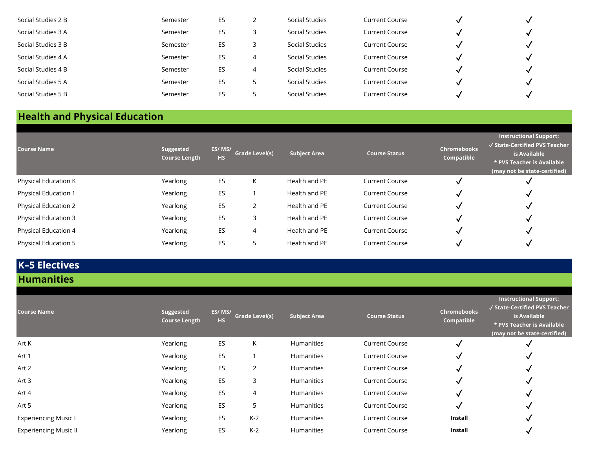| Semester | ES  |   | Social Studies | <b>Current Course</b> |   | M |
|----------|-----|---|----------------|-----------------------|---|---|
| Semester | ES  |   | Social Studies | <b>Current Course</b> |   | M |
| Semester | ES. |   | Social Studies | Current Course        |   |   |
| Semester | ES. | 4 | Social Studies | <b>Current Course</b> |   | v |
| Semester | ES. | 4 | Social Studies | Current Course        | M | M |
| Semester | ES. |   | Social Studies | <b>Current Course</b> |   | w |
| Semester | ES  |   | Social Studies | <b>Current Course</b> |   |   |
|          |     |   |                |                       |   |   |

# **Health and Physical Education**

| Course Name          | Suggested<br><b>Course Length</b> | ES/MS/<br><b>HS</b> | <b>Grade Level(s)</b> | <b>Subject Area</b> | <b>Course Status</b>  | <b>Chromebooks</b><br>Compatible | <b>Instructional Support:</b><br>√ State-Certified PVS Teacher<br>is Available<br>* PVS Teacher is Available<br>(may not be state-certified) |
|----------------------|-----------------------------------|---------------------|-----------------------|---------------------|-----------------------|----------------------------------|----------------------------------------------------------------------------------------------------------------------------------------------|
| Physical Education K | Yearlong                          | ES                  | K                     | Health and PE       | <b>Current Course</b> | √                                |                                                                                                                                              |
| Physical Education 1 | Yearlong                          | ES                  |                       | Health and PE       | <b>Current Course</b> | √                                |                                                                                                                                              |
| Physical Education 2 | Yearlong                          | ES                  | 2                     | Health and PE       | <b>Current Course</b> | √                                |                                                                                                                                              |
| Physical Education 3 | Yearlong                          | ES                  | 3                     | Health and PE       | <b>Current Course</b> | v                                |                                                                                                                                              |
| Physical Education 4 | Yearlong                          | ES                  | 4                     | Health and PE       | <b>Current Course</b> | v                                |                                                                                                                                              |
| Physical Education 5 | Yearlong                          | ES                  | 5                     | Health and PE       | <b>Current Course</b> |                                  |                                                                                                                                              |

#### **K–5 Electives Humanities**

| <b>Course Name</b>           | Suggested<br><b>Course Length</b> | ES/MS/<br><b>HS</b> | <b>Grade Level(s)</b> | <b>Subject Area</b> | <b>Course Status</b>  | <b>Chromebooks</b><br>Compatible | <b>Instructional Support:</b><br>√ State-Certified PVS Teacher<br>is Available<br>* PVS Teacher is Available<br>(may not be state-certified) |
|------------------------------|-----------------------------------|---------------------|-----------------------|---------------------|-----------------------|----------------------------------|----------------------------------------------------------------------------------------------------------------------------------------------|
| Art K                        | Yearlong                          | ES                  | K                     | <b>Humanities</b>   | <b>Current Course</b> | √                                |                                                                                                                                              |
| Art 1                        | Yearlong                          | ES                  |                       | <b>Humanities</b>   | <b>Current Course</b> | √                                |                                                                                                                                              |
| Art 2                        | Yearlong                          | ES                  | 2                     | <b>Humanities</b>   | <b>Current Course</b> | √                                |                                                                                                                                              |
| Art 3                        | Yearlong                          | ES                  | 3                     | <b>Humanities</b>   | <b>Current Course</b> | √                                | √                                                                                                                                            |
| Art 4                        | Yearlong                          | ES                  | 4                     | <b>Humanities</b>   | <b>Current Course</b> |                                  |                                                                                                                                              |
| Art 5                        | Yearlong                          | ES                  | 5                     | Humanities          | <b>Current Course</b> | √                                |                                                                                                                                              |
| <b>Experiencing Music I</b>  | Yearlong                          | ES                  | $K-2$                 | Humanities          | <b>Current Course</b> | Install                          | ✓                                                                                                                                            |
| <b>Experiencing Music II</b> | Yearlong                          | ES                  | $K-2$                 | <b>Humanities</b>   | <b>Current Course</b> | Install                          | ✓                                                                                                                                            |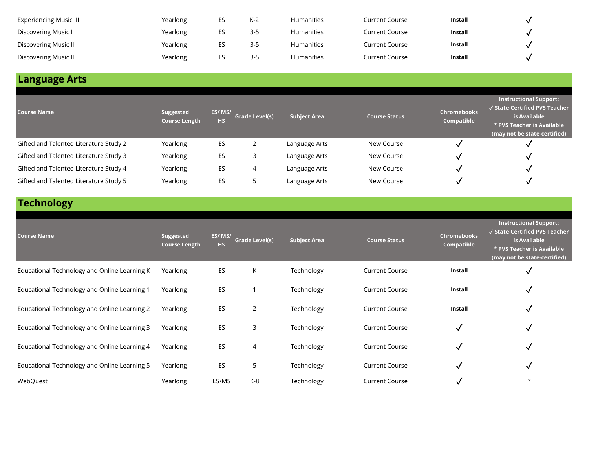| <b>Experiencing Music III</b> | Yearlong | E5  | K-2     | <b>Humanities</b> | Current Course | <b>Install</b> |  |
|-------------------------------|----------|-----|---------|-------------------|----------------|----------------|--|
| Discovering Music I           | Yearlong | E5  | $3 - 5$ | <b>Humanities</b> | Current Course | <b>Install</b> |  |
| Discovering Music II          | Yearlong | ES. | $3 - 5$ | <b>Humanities</b> | Current Course | <b>Install</b> |  |
| Discovering Music III         | Yearlong | E5  | $3 - 5$ | <b>Humanities</b> | Current Course | <b>Install</b> |  |

## **Language Arts**

| Course Name                            | Suggested<br><b>Course Length</b> | ES/MS/<br><b>HS</b> | <b>Grade Level(s)</b> | <b>Subject Area</b> | <b>Course Status</b> | <b>Chromebooks</b><br>Compatible | <b>Instructional Support:</b><br>√ State-Certified PVS Teacher<br>is Available<br>* PVS Teacher is Available<br>(may not be state-certified) |
|----------------------------------------|-----------------------------------|---------------------|-----------------------|---------------------|----------------------|----------------------------------|----------------------------------------------------------------------------------------------------------------------------------------------|
| Gifted and Talented Literature Study 2 | Yearlong                          | ES                  | ∠                     | Language Arts       | New Course           | v                                |                                                                                                                                              |
| Gifted and Talented Literature Study 3 | Yearlong                          | ES                  | 3                     | Language Arts       | New Course           | W                                |                                                                                                                                              |
| Gifted and Talented Literature Study 4 | Yearlong                          | ES                  | 4                     | Language Arts       | New Course           |                                  |                                                                                                                                              |
| Gifted and Talented Literature Study 5 | Yearlong                          | ES.                 |                       | Language Arts       | New Course           |                                  |                                                                                                                                              |

## **Technology**

| <b>Course Name</b>                           | Suggested<br><b>Course Length</b> | ES/MS/<br><b>HS</b> | Grade Level(s) | <b>Subject Area</b> | <b>Course Status</b>  | <b>Chromebooks</b><br><b>Compatible</b> | <b>Instructional Support:</b><br>√ State-Certified PVS Teacher<br>is Available<br>* PVS Teacher is Available<br>(may not be state-certified) |
|----------------------------------------------|-----------------------------------|---------------------|----------------|---------------------|-----------------------|-----------------------------------------|----------------------------------------------------------------------------------------------------------------------------------------------|
| Educational Technology and Online Learning K | Yearlong                          | ES                  | K              | Technology          | <b>Current Course</b> | Install                                 |                                                                                                                                              |
| Educational Technology and Online Learning 1 | Yearlong                          | ES                  |                | Technology          | <b>Current Course</b> | Install                                 | √                                                                                                                                            |
| Educational Technology and Online Learning 2 | Yearlong                          | ES                  | 2              | Technology          | <b>Current Course</b> | Install                                 | √                                                                                                                                            |
| Educational Technology and Online Learning 3 | Yearlong                          | ES                  | 3              | Technology          | <b>Current Course</b> | $\checkmark$                            | √                                                                                                                                            |
| Educational Technology and Online Learning 4 | Yearlong                          | ES                  | 4              | Technology          | <b>Current Course</b> | $\checkmark$                            |                                                                                                                                              |
| Educational Technology and Online Learning 5 | Yearlong                          | ES                  | 5              | Technology          | <b>Current Course</b> | $\checkmark$                            | √                                                                                                                                            |
| WebQuest                                     | Yearlong                          | ES/MS               | K-8            | Technology          | <b>Current Course</b> | √                                       | $\star$                                                                                                                                      |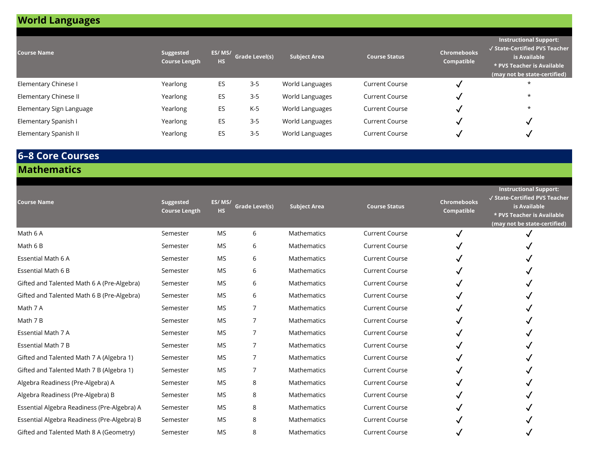## **World Languages**

| <b>Course Name</b>       | Suggested<br><b>Course Length</b> | ES/MS/<br><b>HS</b> | <b>Grade Level(s)</b> | <b>Subject Area</b> | <b>Course Status</b>  | <b>Chromebooks</b><br>Compatible | <b>Instructional Support:</b><br>√ State-Certified PVS Teacher<br>is Available<br>* PVS Teacher is Available<br>(may not be state-certified) |
|--------------------------|-----------------------------------|---------------------|-----------------------|---------------------|-----------------------|----------------------------------|----------------------------------------------------------------------------------------------------------------------------------------------|
| Elementary Chinese I     | Yearlong                          | ES                  | $3-5$                 | World Languages     | <b>Current Course</b> | v                                | $\star$                                                                                                                                      |
| Elementary Chinese II    | Yearlong                          | ES                  | $3-5$                 | World Languages     | Current Course        | √                                | $\star$                                                                                                                                      |
| Elementary Sign Language | Yearlong                          | ES                  | K-5                   | World Languages     | <b>Current Course</b> | v                                | $\star$                                                                                                                                      |
| Elementary Spanish I     | Yearlong                          | ES                  | $3 - 5$               | World Languages     | Current Course        | v                                |                                                                                                                                              |
| Elementary Spanish II    | Yearlong                          | ES                  | $3-5$                 | World Languages     | <b>Current Course</b> |                                  |                                                                                                                                              |

#### **6–8 Core Courses Mathematics**

| <b>Course Name</b>                          | <b>Suggested</b><br><b>Course Length</b> | ES/MS/<br><b>HS</b> | <b>Grade Level(s)</b> | <b>Subject Area</b> | <b>Course Status</b>  | <b>Chromebooks</b><br>Compatible | <b>Instructional Support:</b><br>√ State-Certified PVS Teacher<br>is Available<br>* PVS Teacher is Available<br>(may not be state-certified) |
|---------------------------------------------|------------------------------------------|---------------------|-----------------------|---------------------|-----------------------|----------------------------------|----------------------------------------------------------------------------------------------------------------------------------------------|
| Math 6 A                                    | Semester                                 | <b>MS</b>           | 6                     | Mathematics         | <b>Current Course</b> |                                  |                                                                                                                                              |
| Math 6 B                                    | Semester                                 | <b>MS</b>           | 6                     | Mathematics         | <b>Current Course</b> |                                  |                                                                                                                                              |
| Essential Math 6 A                          | Semester                                 | MS                  | 6                     | Mathematics         | <b>Current Course</b> |                                  |                                                                                                                                              |
| Essential Math 6 B                          | Semester                                 | MS                  | 6                     | Mathematics         | <b>Current Course</b> |                                  |                                                                                                                                              |
| Gifted and Talented Math 6 A (Pre-Algebra)  | Semester                                 | MS                  | 6                     | Mathematics         | <b>Current Course</b> |                                  |                                                                                                                                              |
| Gifted and Talented Math 6 B (Pre-Algebra)  | Semester                                 | MS                  | 6                     | Mathematics         | <b>Current Course</b> |                                  |                                                                                                                                              |
| Math 7 A                                    | Semester                                 | MS                  | 7                     | Mathematics         | <b>Current Course</b> |                                  |                                                                                                                                              |
| Math 7 B                                    | Semester                                 | MS                  | $\overline{7}$        | Mathematics         | <b>Current Course</b> |                                  |                                                                                                                                              |
| Essential Math 7 A                          | Semester                                 | MS                  | 7                     | Mathematics         | <b>Current Course</b> |                                  |                                                                                                                                              |
| Essential Math 7 B                          | Semester                                 | MS                  | 7                     | Mathematics         | <b>Current Course</b> |                                  |                                                                                                                                              |
| Gifted and Talented Math 7 A (Algebra 1)    | Semester                                 | MS                  | $\overline{7}$        | Mathematics         | <b>Current Course</b> |                                  |                                                                                                                                              |
| Gifted and Talented Math 7 B (Algebra 1)    | Semester                                 | MS                  | 7                     | Mathematics         | <b>Current Course</b> |                                  |                                                                                                                                              |
| Algebra Readiness (Pre-Algebra) A           | Semester                                 | MS                  | 8                     | Mathematics         | <b>Current Course</b> |                                  |                                                                                                                                              |
| Algebra Readiness (Pre-Algebra) B           | Semester                                 | MS                  | 8                     | Mathematics         | <b>Current Course</b> |                                  |                                                                                                                                              |
| Essential Algebra Readiness (Pre-Algebra) A | Semester                                 | MS                  | 8                     | Mathematics         | <b>Current Course</b> |                                  |                                                                                                                                              |
| Essential Algebra Readiness (Pre-Algebra) B | Semester                                 | MS                  | 8                     | Mathematics         | <b>Current Course</b> |                                  |                                                                                                                                              |
| Gifted and Talented Math 8 A (Geometry)     | Semester                                 | <b>MS</b>           | 8                     | Mathematics         | <b>Current Course</b> |                                  |                                                                                                                                              |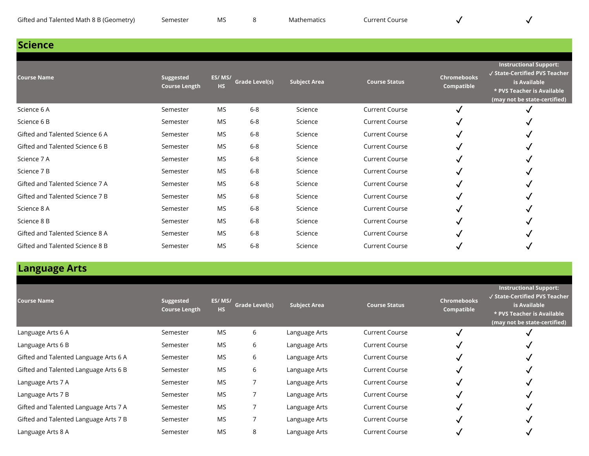

### **Science**

| <b>Course Name</b>              | Suggested<br><b>Course Length</b> | ES/MS/<br><b>HS</b> | <b>Grade Level(s)</b> | Subject Area | <b>Course Status</b>  | <b>Chromebooks</b><br>Compatible | <b>Instructional Support:</b><br>√ State-Certified PVS Teacher<br>is Available<br>* PVS Teacher is Available<br>(may not be state-certified) |
|---------------------------------|-----------------------------------|---------------------|-----------------------|--------------|-----------------------|----------------------------------|----------------------------------------------------------------------------------------------------------------------------------------------|
| Science 6 A                     | Semester                          | <b>MS</b>           | $6-8$                 | Science      | <b>Current Course</b> |                                  |                                                                                                                                              |
| Science 6 B                     | Semester                          | <b>MS</b>           | $6-8$                 | Science      | <b>Current Course</b> |                                  |                                                                                                                                              |
| Gifted and Talented Science 6 A | Semester                          | <b>MS</b>           | $6-8$                 | Science      | <b>Current Course</b> |                                  |                                                                                                                                              |
| Gifted and Talented Science 6 B | Semester                          | <b>MS</b>           | $6-8$                 | Science      | <b>Current Course</b> | ✓                                |                                                                                                                                              |
| Science 7 A                     | Semester                          | <b>MS</b>           | $6-8$                 | Science      | <b>Current Course</b> |                                  |                                                                                                                                              |
| Science 7 B                     | Semester                          | <b>MS</b>           | $6-8$                 | Science      | <b>Current Course</b> |                                  |                                                                                                                                              |
| Gifted and Talented Science 7 A | Semester                          | <b>MS</b>           | $6-8$                 | Science      | <b>Current Course</b> |                                  |                                                                                                                                              |
| Gifted and Talented Science 7 B | Semester                          | <b>MS</b>           | $6-8$                 | Science      | <b>Current Course</b> |                                  |                                                                                                                                              |
| Science 8 A                     | Semester                          | <b>MS</b>           | $6-8$                 | Science      | <b>Current Course</b> |                                  |                                                                                                                                              |
| Science 8 B                     | Semester                          | <b>MS</b>           | $6-8$                 | Science      | <b>Current Course</b> |                                  |                                                                                                                                              |
| Gifted and Talented Science 8 A | Semester                          | <b>MS</b>           | $6-8$                 | Science      | <b>Current Course</b> |                                  |                                                                                                                                              |
| Gifted and Talented Science 8 B | Semester                          | <b>MS</b>           | $6-8$                 | Science      | <b>Current Course</b> |                                  |                                                                                                                                              |

## **Language Arts**

| <b>Course Name</b>                    | Suggested<br><b>Course Length</b> | ES/MS/<br>HS. | <b>Grade Level(s)</b> | <b>Subject Area</b> | <b>Course Status</b>  | <b>Chromebooks</b><br>Compatible | <b>Instructional Support:</b><br>√ State-Certified PVS Teacher<br>is Available<br>* PVS Teacher is Available<br>(may not be state-certified) |
|---------------------------------------|-----------------------------------|---------------|-----------------------|---------------------|-----------------------|----------------------------------|----------------------------------------------------------------------------------------------------------------------------------------------|
| Language Arts 6 A                     | Semester                          | <b>MS</b>     | 6                     | Language Arts       | <b>Current Course</b> |                                  |                                                                                                                                              |
| Language Arts 6 B                     | Semester                          | <b>MS</b>     | 6                     | Language Arts       | <b>Current Course</b> | √                                |                                                                                                                                              |
| Gifted and Talented Language Arts 6 A | Semester                          | <b>MS</b>     | 6                     | Language Arts       | <b>Current Course</b> | √                                |                                                                                                                                              |
| Gifted and Talented Language Arts 6 B | Semester                          | <b>MS</b>     | 6                     | Language Arts       | <b>Current Course</b> | √                                |                                                                                                                                              |
| Language Arts 7 A                     | Semester                          | MS            |                       | Language Arts       | <b>Current Course</b> | v                                |                                                                                                                                              |
| Language Arts 7 B                     | Semester                          | MS            | 7                     | Language Arts       | <b>Current Course</b> | √                                |                                                                                                                                              |
| Gifted and Talented Language Arts 7 A | Semester                          | <b>MS</b>     | 7                     | Language Arts       | <b>Current Course</b> | √                                |                                                                                                                                              |
| Gifted and Talented Language Arts 7 B | Semester                          | <b>MS</b>     |                       | Language Arts       | <b>Current Course</b> | $\checkmark$                     |                                                                                                                                              |
| Language Arts 8 A                     | Semester                          | <b>MS</b>     | 8                     | Language Arts       | <b>Current Course</b> |                                  |                                                                                                                                              |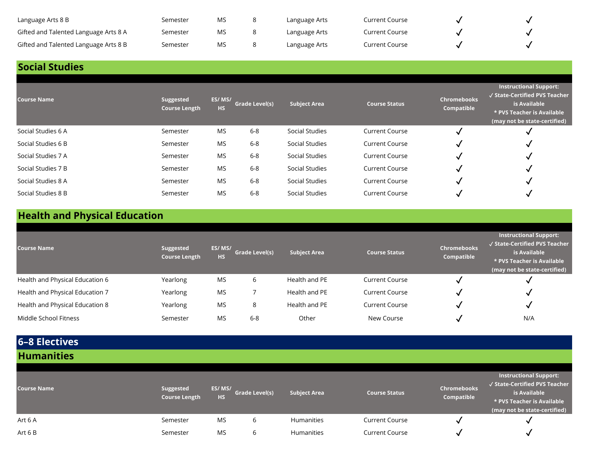| Language Arts 8 B                     | Semester | MS        | Language Arts | Current Course |  |
|---------------------------------------|----------|-----------|---------------|----------------|--|
| Gifted and Talented Language Arts 8 A | Semester | <b>MS</b> | Language Arts | Current Course |  |
| Gifted and Talented Language Arts 8 B | Semester | MS        | Language Arts | Current Course |  |

## **Social Studies**

| <b>Course Name</b> | Suggested<br><b>Course Length</b> | ES/MS/<br><b>HS</b> | Grade Level(s) | <b>Subject Area</b> | <b>Course Status</b>  | <b>Chromebooks</b><br>Compatible | <b>Instructional Support:</b><br>√ State-Certified PVS Teacher<br>is Available<br>* PVS Teacher is Available<br>(may not be state-certified) |
|--------------------|-----------------------------------|---------------------|----------------|---------------------|-----------------------|----------------------------------|----------------------------------------------------------------------------------------------------------------------------------------------|
| Social Studies 6 A | Semester                          | MS                  | $6-8$          | Social Studies      | Current Course        | √                                |                                                                                                                                              |
| Social Studies 6 B | Semester                          | MS                  | $6-8$          | Social Studies      | <b>Current Course</b> | √                                |                                                                                                                                              |
| Social Studies 7 A | Semester                          | <b>MS</b>           | $6-8$          | Social Studies      | <b>Current Course</b> | √                                |                                                                                                                                              |
| Social Studies 7 B | Semester                          | <b>MS</b>           | $6-8$          | Social Studies      | <b>Current Course</b> | J                                |                                                                                                                                              |
| Social Studies 8 A | Semester                          | <b>MS</b>           | $6-8$          | Social Studies      | <b>Current Course</b> | √                                |                                                                                                                                              |
| Social Studies 8 B | Semester                          | <b>MS</b>           | $6 - 8$        | Social Studies      | <b>Current Course</b> |                                  |                                                                                                                                              |

## **Health and Physical Education**

| <b>Course Name</b>              | Suggested<br><b>Course Length</b> | ES/MS/<br><b>HS</b> | Grade Level(s) | <b>Subject Area</b> | <b>Course Status</b>  | <b>Chromebooks</b><br>Compatible | <b>Instructional Support:</b><br>√ State-Certified PVS Teacher<br>is Available<br>* PVS Teacher is Available<br>(may not be state-certified) |
|---------------------------------|-----------------------------------|---------------------|----------------|---------------------|-----------------------|----------------------------------|----------------------------------------------------------------------------------------------------------------------------------------------|
| Health and Physical Education 6 | Yearlong                          | MS                  | b              | Health and PE       | <b>Current Course</b> |                                  |                                                                                                                                              |
| Health and Physical Education 7 | Yearlong                          | <b>MS</b>           |                | Health and PE       | <b>Current Course</b> |                                  |                                                                                                                                              |
| Health and Physical Education 8 | Yearlong                          | <b>MS</b>           | 8              | Health and PE       | Current Course        |                                  |                                                                                                                                              |
| Middle School Fitness           | Semester                          | <b>MS</b>           | $6 - 8$        | Other               | New Course            |                                  | N/A                                                                                                                                          |

#### **6–8 Electives Humanities**

|                    |                                   |           |                       |                     |                       | <b>Chromebooks</b> | <b>Instructional Support:</b> |
|--------------------|-----------------------------------|-----------|-----------------------|---------------------|-----------------------|--------------------|-------------------------------|
| <b>Course Name</b> | Suggested<br><b>Course Length</b> | ES/MS/    |                       |                     | <b>Course Status</b>  |                    | √ State-Certified PVS Teacher |
|                    |                                   | <b>HS</b> | <b>Grade Level(s)</b> | <b>Subject Area</b> |                       | Compatible         | is Available                  |
|                    |                                   |           |                       |                     |                       |                    | * PVS Teacher is Available    |
|                    |                                   |           |                       |                     |                       |                    | (may not be state-certified)  |
| Art 6 A            | Semester                          | MS        |                       | Humanities          | <b>Current Course</b> |                    | v                             |
| Art 6 B            | Semester                          | MS        |                       | Humanities          | <b>Current Course</b> |                    | $\cdot$                       |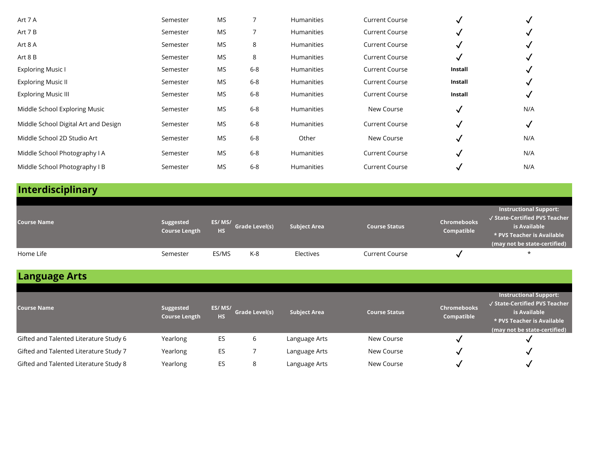| Art 7 A                              | Semester | MS        |         | <b>Humanities</b> | <b>Current Course</b> |         |     |
|--------------------------------------|----------|-----------|---------|-------------------|-----------------------|---------|-----|
| Art 7 B                              | Semester | MS        |         | <b>Humanities</b> | <b>Current Course</b> | √       |     |
| Art 8 A                              | Semester | MS        | 8       | <b>Humanities</b> | <b>Current Course</b> | ✓       |     |
| Art 8 B                              | Semester | MS        | 8       | <b>Humanities</b> | <b>Current Course</b> | ✓       |     |
| <b>Exploring Music I</b>             | Semester | MS        | $6-8$   | <b>Humanities</b> | <b>Current Course</b> | Install |     |
| <b>Exploring Music II</b>            | Semester | <b>MS</b> | $6-8$   | <b>Humanities</b> | <b>Current Course</b> | Install |     |
| <b>Exploring Music III</b>           | Semester | MS        | $6-8$   | <b>Humanities</b> | <b>Current Course</b> | Install |     |
| Middle School Exploring Music        | Semester | <b>MS</b> | $6-8$   | <b>Humanities</b> | New Course            | √       | N/A |
| Middle School Digital Art and Design | Semester | <b>MS</b> | $6-8$   | <b>Humanities</b> | <b>Current Course</b> | √       | √   |
| Middle School 2D Studio Art          | Semester | <b>MS</b> | $6-8$   | Other             | New Course            | √       | N/A |
| Middle School Photography I A        | Semester | <b>MS</b> | $6-8$   | Humanities        | <b>Current Course</b> | ✓       | N/A |
| Middle School Photography I B        | Semester | <b>MS</b> | $6 - 8$ | <b>Humanities</b> | <b>Current Course</b> |         | N/A |

# **Interdisciplinary**

| <b>Course Name</b> | <b>Suggested</b><br><b>Course Length</b> | ES/MS/<br><b>HS</b> | <b>Grade Level(s)</b> | <b>Subject Area</b> | <b>Course Status</b>  | <b>Chromebooks</b><br>Compatible | <b>Instructional Support:</b><br>√ State-Certified PVS Teacher<br>is Available<br>* PVS Teacher is Available<br>(may not be state-certified) |
|--------------------|------------------------------------------|---------------------|-----------------------|---------------------|-----------------------|----------------------------------|----------------------------------------------------------------------------------------------------------------------------------------------|
| Home Life          | Semester                                 | ES/MS               | K-8                   | Electives           | <b>Current Course</b> |                                  |                                                                                                                                              |

### **Language Arts**

|                                        |                      |           |                       |                     |                      |                    | Instructional Support:<br>√ State-Certified PVS Teacher |
|----------------------------------------|----------------------|-----------|-----------------------|---------------------|----------------------|--------------------|---------------------------------------------------------|
| <b>Course Name</b>                     | Suggested            | ES/MS/    | <b>Grade Level(s)</b> | <b>Subject Area</b> | <b>Course Status</b> | <b>Chromebooks</b> | is Available                                            |
|                                        | <b>Course Length</b> | <b>HS</b> |                       |                     |                      | Compatible         | * PVS Teacher is Available                              |
|                                        |                      |           |                       |                     |                      |                    | (may not be state-certified)                            |
| Gifted and Talented Literature Study 6 | Yearlong             | ES        | 6                     | Language Arts       | New Course           |                    |                                                         |
| Gifted and Talented Literature Study 7 | Yearlong             | ES        |                       | Language Arts       | New Course           |                    |                                                         |
| Gifted and Talented Literature Study 8 | Yearlong             | ES        | ٥                     | Language Arts       | New Course           |                    |                                                         |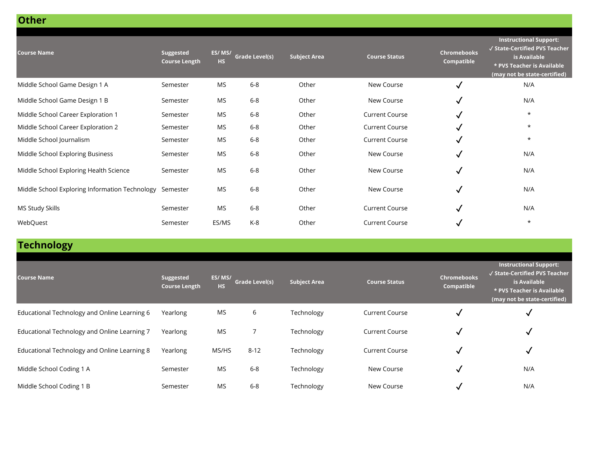| <b>Other</b>                                   |                                   |                     |                       |                     |                       |                                  |                                                                                                                                              |
|------------------------------------------------|-----------------------------------|---------------------|-----------------------|---------------------|-----------------------|----------------------------------|----------------------------------------------------------------------------------------------------------------------------------------------|
| <b>Course Name</b>                             | Suggested<br><b>Course Length</b> | ES/MS/<br><b>HS</b> | <b>Grade Level(s)</b> | <b>Subject Area</b> | <b>Course Status</b>  | <b>Chromebooks</b><br>Compatible | <b>Instructional Support:</b><br>√ State-Certified PVS Teacher<br>is Available<br>* PVS Teacher is Available<br>(may not be state-certified) |
| Middle School Game Design 1 A                  | Semester                          | MS                  | $6 - 8$               | Other               | New Course            | $\checkmark$                     | N/A                                                                                                                                          |
| Middle School Game Design 1 B                  | Semester                          | MS                  | $6 - 8$               | Other               | New Course            | ✓                                | N/A                                                                                                                                          |
| Middle School Career Exploration 1             | Semester                          | MS                  | $6 - 8$               | Other               | <b>Current Course</b> | √                                | $\star$                                                                                                                                      |
| Middle School Career Exploration 2             | Semester                          | MS                  | $6 - 8$               | Other               | <b>Current Course</b> |                                  | $\star$                                                                                                                                      |
| Middle School Journalism                       | Semester                          | <b>MS</b>           | $6 - 8$               | Other               | <b>Current Course</b> | √                                | $\star$                                                                                                                                      |
| Middle School Exploring Business               | Semester                          | MS                  | $6 - 8$               | Other               | New Course            | $\checkmark$                     | N/A                                                                                                                                          |
| Middle School Exploring Health Science         | Semester                          | <b>MS</b>           | $6 - 8$               | Other               | New Course            | $\checkmark$                     | N/A                                                                                                                                          |
| Middle School Exploring Information Technology | Semester                          | MS                  | $6 - 8$               | Other               | New Course            | √                                | N/A                                                                                                                                          |
| MS Study Skills                                | Semester                          | MS                  | $6 - 8$               | Other               | <b>Current Course</b> | √                                | N/A                                                                                                                                          |
| WebQuest                                       | Semester                          | ES/MS               | $K-8$                 | Other               | <b>Current Course</b> | v                                | $^\star$                                                                                                                                     |

**Technology**

| <b>Course Name</b>                           | Suggested<br><b>Course Length</b> | ES/MS/<br><b>HS</b> | <b>Grade Level(s)</b> | <b>Subject Area</b> | <b>Course Status</b>  | <b>Chromebooks</b><br>Compatible | <b>Instructional Support:</b><br>√ State-Certified PVS Teacher<br>is Available<br>* PVS Teacher is Available<br>(may not be state-certified) |
|----------------------------------------------|-----------------------------------|---------------------|-----------------------|---------------------|-----------------------|----------------------------------|----------------------------------------------------------------------------------------------------------------------------------------------|
| Educational Technology and Online Learning 6 | Yearlong                          | <b>MS</b>           | 6                     | Technology          | <b>Current Course</b> | √                                | √                                                                                                                                            |
| Educational Technology and Online Learning 7 | Yearlong                          | <b>MS</b>           |                       | Technology          | <b>Current Course</b> | √                                | √                                                                                                                                            |
| Educational Technology and Online Learning 8 | Yearlong                          | MS/HS               | $8 - 12$              | Technology          | <b>Current Course</b> | $\checkmark$                     | √                                                                                                                                            |
| Middle School Coding 1 A                     | Semester                          | <b>MS</b>           | $6-8$                 | Technology          | New Course            | $\checkmark$                     | N/A                                                                                                                                          |
| Middle School Coding 1 B                     | Semester                          | <b>MS</b>           | $6 - 8$               | Technology          | New Course            | √                                | N/A                                                                                                                                          |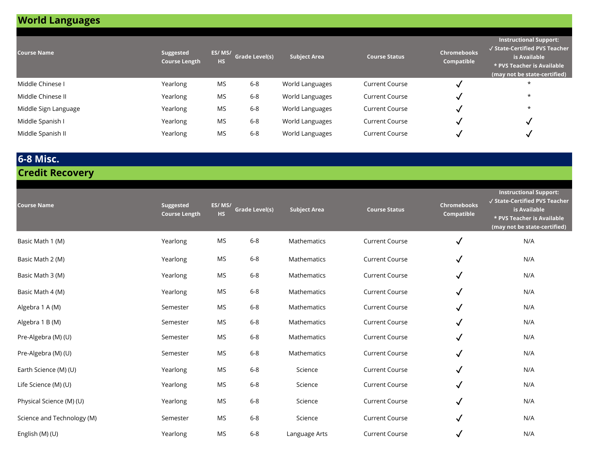## **World Languages**

| <b>Course Name</b>   | Suggested<br><b>Course Length</b> | ES/MS/<br><b>HS</b> | Grade Level(s) | <b>Subject Area</b> | <b>Course Status</b>  | <b>Chromebooks</b><br>Compatible | <b>Instructional Support:</b><br>√ State-Certified PVS Teacher<br>i is Available <sup>'</sup><br>* PVS Teacher is Available<br>(may not be state-certified) |
|----------------------|-----------------------------------|---------------------|----------------|---------------------|-----------------------|----------------------------------|-------------------------------------------------------------------------------------------------------------------------------------------------------------|
| Middle Chinese I     | Yearlong                          | MS                  | 6-8            | World Languages     | <b>Current Course</b> |                                  | $\star$                                                                                                                                                     |
| Middle Chinese II    | Yearlong                          | MS                  | $6-8$          | World Languages     | Current Course        |                                  | $\star$                                                                                                                                                     |
| Middle Sign Language | Yearlong                          | MS                  | 6-8            | World Languages     | <b>Current Course</b> |                                  | $\star$                                                                                                                                                     |
| Middle Spanish I     | Yearlong                          | MS                  | 6-8            | World Languages     | Current Course        |                                  |                                                                                                                                                             |
| Middle Spanish II    | Yearlong                          | MS                  | $6-8$          | World Languages     | <b>Current Course</b> |                                  |                                                                                                                                                             |

### **6-8 Misc.**

**Credit Recovery** 

| <b>Course Name</b>         | Suggested<br><b>Course Length</b> | ES/MS/<br><b>HS</b> | <b>Grade Level(s)</b> | <b>Subject Area</b> | <b>Course Status</b>  | <b>Chromebooks</b><br>Compatible | <b>Instructional Support:</b><br>√ State-Certified PVS Teacher<br>is Available<br>* PVS Teacher is Available<br>(may not be state-certified) |
|----------------------------|-----------------------------------|---------------------|-----------------------|---------------------|-----------------------|----------------------------------|----------------------------------------------------------------------------------------------------------------------------------------------|
| Basic Math 1 (M)           | Yearlong                          | <b>MS</b>           | $6 - 8$               | Mathematics         | <b>Current Course</b> | $\checkmark$                     | N/A                                                                                                                                          |
| Basic Math 2 (M)           | Yearlong                          | MS                  | $6 - 8$               | Mathematics         | <b>Current Course</b> | √                                | N/A                                                                                                                                          |
| Basic Math 3 (M)           | Yearlong                          | MS                  | $6 - 8$               | Mathematics         | <b>Current Course</b> | $\checkmark$                     | N/A                                                                                                                                          |
| Basic Math 4 (M)           | Yearlong                          | MS                  | $6 - 8$               | Mathematics         | <b>Current Course</b> | $\checkmark$                     | N/A                                                                                                                                          |
| Algebra 1 A (M)            | Semester                          | MS                  | $6 - 8$               | Mathematics         | <b>Current Course</b> | $\checkmark$                     | N/A                                                                                                                                          |
| Algebra 1 B (M)            | Semester                          | MS                  | $6 - 8$               | Mathematics         | <b>Current Course</b> | $\checkmark$                     | N/A                                                                                                                                          |
| Pre-Algebra (M) (U)        | Semester                          | MS                  | $6 - 8$               | Mathematics         | <b>Current Course</b> | $\checkmark$                     | N/A                                                                                                                                          |
| Pre-Algebra (M) (U)        | Semester                          | MS                  | $6 - 8$               | Mathematics         | <b>Current Course</b> | $\checkmark$                     | N/A                                                                                                                                          |
| Earth Science (M) (U)      | Yearlong                          | MS                  | $6 - 8$               | Science             | <b>Current Course</b> | $\checkmark$                     | N/A                                                                                                                                          |
| Life Science (M) (U)       | Yearlong                          | <b>MS</b>           | $6 - 8$               | Science             | <b>Current Course</b> | $\checkmark$                     | N/A                                                                                                                                          |
| Physical Science (M) (U)   | Yearlong                          | MS                  | $6 - 8$               | Science             | <b>Current Course</b> | $\checkmark$                     | N/A                                                                                                                                          |
| Science and Technology (M) | Semester                          | MS                  | $6 - 8$               | Science             | <b>Current Course</b> | ✓                                | N/A                                                                                                                                          |
| English (M) (U)            | Yearlong                          | MS                  | $6 - 8$               | Language Arts       | <b>Current Course</b> | $\checkmark$                     | N/A                                                                                                                                          |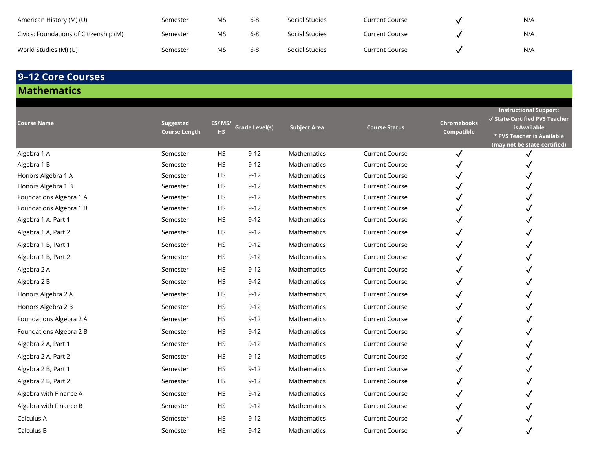| American History (M) (U)               | Semester | MS | $6 - 8$ | Social Studies | Current Course | N/A |
|----------------------------------------|----------|----|---------|----------------|----------------|-----|
| Civics: Foundations of Citizenship (M) | Semester | MS | $6 - 8$ | Social Studies | Current Course | N/A |
| World Studies (M) (U)                  | Semester | MS | $6 - 8$ | Social Studies | Current Course | N/A |

#### **9–12 Core Courses Mathematics**

| <b>Course Name</b>      | Suggested<br><b>Course Length</b> | ES/MS/<br><b>HS</b> | <b>Grade Level(s)</b> | <b>Subject Area</b> | <b>Course Status</b>  | <b>Chromebooks</b><br>Compatible | <b>Instructional Support:</b><br>√ State-Certified PVS Teacher<br>is Available<br>* PVS Teacher is Available<br>(may not be state-certified) |
|-------------------------|-----------------------------------|---------------------|-----------------------|---------------------|-----------------------|----------------------------------|----------------------------------------------------------------------------------------------------------------------------------------------|
| Algebra 1 A             | Semester                          | HS                  | $9 - 12$              | Mathematics         | <b>Current Course</b> |                                  |                                                                                                                                              |
| Algebra 1 B             | Semester                          | <b>HS</b>           | $9 - 12$              | Mathematics         | <b>Current Course</b> |                                  |                                                                                                                                              |
| Honors Algebra 1 A      | Semester                          | <b>HS</b>           | $9 - 12$              | Mathematics         | <b>Current Course</b> |                                  |                                                                                                                                              |
| Honors Algebra 1 B      | Semester                          | <b>HS</b>           | $9 - 12$              | Mathematics         | <b>Current Course</b> |                                  |                                                                                                                                              |
| Foundations Algebra 1 A | Semester                          | <b>HS</b>           | $9 - 12$              | Mathematics         | <b>Current Course</b> |                                  |                                                                                                                                              |
| Foundations Algebra 1 B | Semester                          | <b>HS</b>           | $9 - 12$              | Mathematics         | <b>Current Course</b> |                                  |                                                                                                                                              |
| Algebra 1 A, Part 1     | Semester                          | <b>HS</b>           | $9 - 12$              | Mathematics         | <b>Current Course</b> |                                  |                                                                                                                                              |
| Algebra 1 A, Part 2     | Semester                          | <b>HS</b>           | $9 - 12$              | Mathematics         | <b>Current Course</b> |                                  |                                                                                                                                              |
| Algebra 1 B, Part 1     | Semester                          | <b>HS</b>           | $9 - 12$              | Mathematics         | <b>Current Course</b> |                                  |                                                                                                                                              |
| Algebra 1 B, Part 2     | Semester                          | <b>HS</b>           | $9 - 12$              | Mathematics         | <b>Current Course</b> |                                  |                                                                                                                                              |
| Algebra 2 A             | Semester                          | <b>HS</b>           | $9 - 12$              | Mathematics         | <b>Current Course</b> |                                  |                                                                                                                                              |
| Algebra 2 B             | Semester                          | <b>HS</b>           | $9 - 12$              | Mathematics         | <b>Current Course</b> |                                  |                                                                                                                                              |
| Honors Algebra 2 A      | Semester                          | <b>HS</b>           | $9 - 12$              | Mathematics         | <b>Current Course</b> |                                  |                                                                                                                                              |
| Honors Algebra 2 B      | Semester                          | <b>HS</b>           | $9 - 12$              | Mathematics         | <b>Current Course</b> |                                  |                                                                                                                                              |
| Foundations Algebra 2 A | Semester                          | <b>HS</b>           | $9 - 12$              | Mathematics         | <b>Current Course</b> |                                  |                                                                                                                                              |
| Foundations Algebra 2 B | Semester                          | <b>HS</b>           | $9 - 12$              | Mathematics         | <b>Current Course</b> |                                  |                                                                                                                                              |
| Algebra 2 A, Part 1     | Semester                          | <b>HS</b>           | $9 - 12$              | Mathematics         | <b>Current Course</b> |                                  |                                                                                                                                              |
| Algebra 2 A, Part 2     | Semester                          | <b>HS</b>           | $9 - 12$              | <b>Mathematics</b>  | <b>Current Course</b> |                                  |                                                                                                                                              |
| Algebra 2 B, Part 1     | Semester                          | <b>HS</b>           | $9 - 12$              | Mathematics         | <b>Current Course</b> |                                  |                                                                                                                                              |
| Algebra 2 B, Part 2     | Semester                          | <b>HS</b>           | $9 - 12$              | Mathematics         | <b>Current Course</b> |                                  |                                                                                                                                              |
| Algebra with Finance A  | Semester                          | <b>HS</b>           | $9 - 12$              | <b>Mathematics</b>  | <b>Current Course</b> |                                  |                                                                                                                                              |
| Algebra with Finance B  | Semester                          | <b>HS</b>           | $9 - 12$              | Mathematics         | <b>Current Course</b> |                                  |                                                                                                                                              |
| Calculus A              | Semester                          | <b>HS</b>           | $9 - 12$              | Mathematics         | <b>Current Course</b> |                                  |                                                                                                                                              |
| Calculus B              | Semester                          | <b>HS</b>           | $9 - 12$              | Mathematics         | <b>Current Course</b> |                                  |                                                                                                                                              |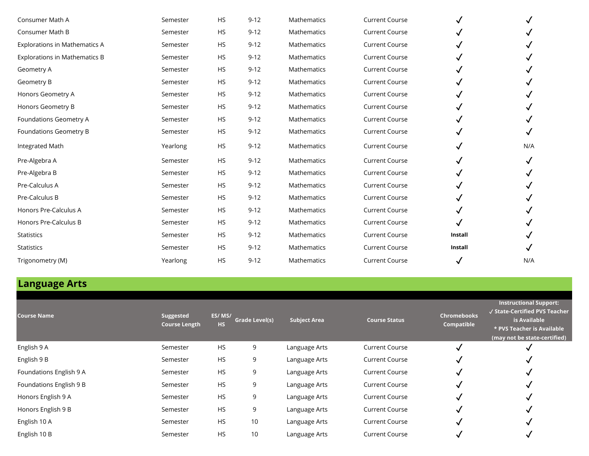| Consumer Math A                      | Semester | <b>HS</b> | $9 - 12$ | Mathematics        | <b>Current Course</b> |         |     |
|--------------------------------------|----------|-----------|----------|--------------------|-----------------------|---------|-----|
| Consumer Math B                      | Semester | <b>HS</b> | $9 - 12$ | <b>Mathematics</b> | <b>Current Course</b> |         |     |
| <b>Explorations in Mathematics A</b> | Semester | <b>HS</b> | $9 - 12$ | Mathematics        | <b>Current Course</b> |         |     |
| <b>Explorations in Mathematics B</b> | Semester | <b>HS</b> | $9 - 12$ | Mathematics        | <b>Current Course</b> |         |     |
| Geometry A                           | Semester | <b>HS</b> | $9 - 12$ | Mathematics        | <b>Current Course</b> |         |     |
| Geometry B                           | Semester | <b>HS</b> | $9 - 12$ | <b>Mathematics</b> | <b>Current Course</b> |         |     |
| Honors Geometry A                    | Semester | <b>HS</b> | $9 - 12$ | Mathematics        | <b>Current Course</b> |         |     |
| Honors Geometry B                    | Semester | <b>HS</b> | $9 - 12$ | Mathematics        | <b>Current Course</b> |         |     |
| Foundations Geometry A               | Semester | <b>HS</b> | $9 - 12$ | Mathematics        | <b>Current Course</b> |         |     |
| Foundations Geometry B               | Semester | <b>HS</b> | $9 - 12$ | Mathematics        | <b>Current Course</b> |         |     |
| Integrated Math                      | Yearlong | <b>HS</b> | $9 - 12$ | Mathematics        | <b>Current Course</b> |         | N/A |
| Pre-Algebra A                        | Semester | <b>HS</b> | $9 - 12$ | <b>Mathematics</b> | <b>Current Course</b> |         |     |
| Pre-Algebra B                        | Semester | <b>HS</b> | $9 - 12$ | Mathematics        | <b>Current Course</b> |         |     |
| Pre-Calculus A                       | Semester | <b>HS</b> | $9 - 12$ | Mathematics        | <b>Current Course</b> |         |     |
| Pre-Calculus B                       | Semester | <b>HS</b> | $9 - 12$ | <b>Mathematics</b> | <b>Current Course</b> |         |     |
| Honors Pre-Calculus A                | Semester | <b>HS</b> | $9 - 12$ | <b>Mathematics</b> | <b>Current Course</b> |         |     |
| Honors Pre-Calculus B                | Semester | <b>HS</b> | $9 - 12$ | Mathematics        | <b>Current Course</b> |         |     |
| <b>Statistics</b>                    | Semester | <b>HS</b> | $9 - 12$ | Mathematics        | <b>Current Course</b> | Install |     |
| <b>Statistics</b>                    | Semester | <b>HS</b> | $9 - 12$ | <b>Mathematics</b> | <b>Current Course</b> | Install |     |
| Trigonometry (M)                     | Yearlong | <b>HS</b> | $9 - 12$ | Mathematics        | <b>Current Course</b> |         | N/A |

## **Language Arts**

| <b>Course Name</b>      | Suggested<br><b>Course Length</b> | ES/MS/<br><b>HS</b> | Grade Level(s) | <b>Subject Area</b> | <b>Course Status</b>  | <b>Chromebooks</b><br>Compatible | <b>Instructional Support:</b><br>√ State-Certified PVS Teacher<br>is Available<br>* PVS Teacher is Available<br>(may not be state-certified) |
|-------------------------|-----------------------------------|---------------------|----------------|---------------------|-----------------------|----------------------------------|----------------------------------------------------------------------------------------------------------------------------------------------|
| English 9 A             | Semester                          | <b>HS</b>           | 9              | Language Arts       | <b>Current Course</b> |                                  |                                                                                                                                              |
| English 9 B             | Semester                          | <b>HS</b>           | 9              | Language Arts       | <b>Current Course</b> |                                  | √                                                                                                                                            |
| Foundations English 9 A | Semester                          | <b>HS</b>           | 9              | Language Arts       | <b>Current Course</b> |                                  | N                                                                                                                                            |
| Foundations English 9 B | Semester                          | <b>HS</b>           | 9              | Language Arts       | <b>Current Course</b> |                                  | v                                                                                                                                            |
| Honors English 9 A      | Semester                          | <b>HS</b>           | 9              | Language Arts       | <b>Current Course</b> |                                  |                                                                                                                                              |
| Honors English 9 B      | Semester                          | <b>HS</b>           | 9              | Language Arts       | <b>Current Course</b> |                                  |                                                                                                                                              |
| English 10 A            | Semester                          | <b>HS</b>           | 10             | Language Arts       | <b>Current Course</b> |                                  |                                                                                                                                              |
| English 10 B            | Semester                          | <b>HS</b>           | 10             | Language Arts       | <b>Current Course</b> |                                  |                                                                                                                                              |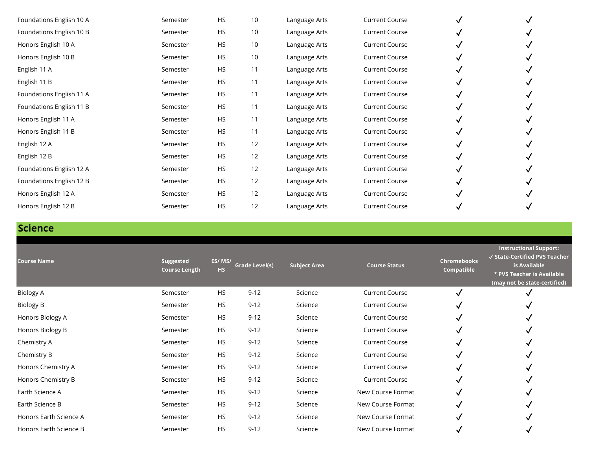| Foundations English 10 A | Semester | <b>HS</b> | 10 | Language Arts | <b>Current Course</b> |  |
|--------------------------|----------|-----------|----|---------------|-----------------------|--|
| Foundations English 10 B | Semester | <b>HS</b> | 10 | Language Arts | <b>Current Course</b> |  |
| Honors English 10 A      | Semester | <b>HS</b> | 10 | Language Arts | <b>Current Course</b> |  |
| Honors English 10 B      | Semester | <b>HS</b> | 10 | Language Arts | <b>Current Course</b> |  |
| English 11 A             | Semester | <b>HS</b> | 11 | Language Arts | <b>Current Course</b> |  |
| English 11 B             | Semester | <b>HS</b> | 11 | Language Arts | <b>Current Course</b> |  |
| Foundations English 11 A | Semester | <b>HS</b> | 11 | Language Arts | <b>Current Course</b> |  |
| Foundations English 11 B | Semester | <b>HS</b> | 11 | Language Arts | <b>Current Course</b> |  |
| Honors English 11 A      | Semester | <b>HS</b> | 11 | Language Arts | <b>Current Course</b> |  |
| Honors English 11 B      | Semester | <b>HS</b> | 11 | Language Arts | <b>Current Course</b> |  |
| English 12 A             | Semester | <b>HS</b> | 12 | Language Arts | <b>Current Course</b> |  |
| English 12 B             | Semester | <b>HS</b> | 12 | Language Arts | <b>Current Course</b> |  |
| Foundations English 12 A | Semester | <b>HS</b> | 12 | Language Arts | <b>Current Course</b> |  |
| Foundations English 12 B | Semester | <b>HS</b> | 12 | Language Arts | <b>Current Course</b> |  |
| Honors English 12 A      | Semester | <b>HS</b> | 12 | Language Arts | <b>Current Course</b> |  |
| Honors English 12 B      | Semester | <b>HS</b> | 12 | Language Arts | <b>Current Course</b> |  |

### **Science**

| <b>Course Name</b>     | Suggested<br><b>Course Length</b> | ES/MS/<br><b>HS</b> | <b>Grade Level(s)</b> | <b>Subject Area</b> | <b>Course Status</b>  | <b>Chromebooks</b><br>Compatible | <b>Instructional Support:</b><br>√ State-Certified PVS Teacher<br>is Available<br>* PVS Teacher is Available<br>(may not be state-certified) |
|------------------------|-----------------------------------|---------------------|-----------------------|---------------------|-----------------------|----------------------------------|----------------------------------------------------------------------------------------------------------------------------------------------|
| <b>Biology A</b>       | Semester                          | <b>HS</b>           | $9 - 12$              | Science             | <b>Current Course</b> | √                                |                                                                                                                                              |
| <b>Biology B</b>       | Semester                          | <b>HS</b>           | $9 - 12$              | Science             | <b>Current Course</b> | ✓                                |                                                                                                                                              |
| Honors Biology A       | Semester                          | <b>HS</b>           | $9 - 12$              | Science             | <b>Current Course</b> | √                                |                                                                                                                                              |
| Honors Biology B       | Semester                          | <b>HS</b>           | $9 - 12$              | Science             | <b>Current Course</b> | √                                |                                                                                                                                              |
| Chemistry A            | Semester                          | <b>HS</b>           | $9 - 12$              | Science             | <b>Current Course</b> | ✓                                |                                                                                                                                              |
| Chemistry B            | Semester                          | <b>HS</b>           | $9 - 12$              | Science             | <b>Current Course</b> | √                                |                                                                                                                                              |
| Honors Chemistry A     | Semester                          | <b>HS</b>           | $9 - 12$              | Science             | <b>Current Course</b> | √                                |                                                                                                                                              |
| Honors Chemistry B     | Semester                          | <b>HS</b>           | $9 - 12$              | Science             | <b>Current Course</b> | √                                |                                                                                                                                              |
| Earth Science A        | Semester                          | <b>HS</b>           | $9 - 12$              | Science             | New Course Format     | √                                |                                                                                                                                              |
| Earth Science B        | Semester                          | <b>HS</b>           | $9 - 12$              | Science             | New Course Format     | √                                |                                                                                                                                              |
| Honors Earth Science A | Semester                          | <b>HS</b>           | $9 - 12$              | Science             | New Course Format     | J                                |                                                                                                                                              |
| Honors Earth Science B | Semester                          | <b>HS</b>           | $9 - 12$              | Science             | New Course Format     | √                                |                                                                                                                                              |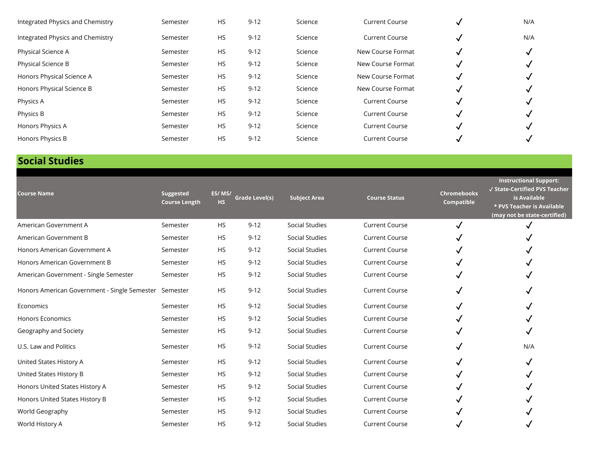| Integrated Physics and Chemistry | Semester | HS        | $9 - 12$ | Science | <b>Current Course</b> | N/A |
|----------------------------------|----------|-----------|----------|---------|-----------------------|-----|
| Integrated Physics and Chemistry | Semester | HS        | $9 - 12$ | Science | <b>Current Course</b> | N/A |
| Physical Science A               | Semester | HS        | $9 - 12$ | Science | New Course Format     |     |
| Physical Science B               | Semester | HS        | $9 - 12$ | Science | New Course Format     |     |
| Honors Physical Science A        | Semester | <b>HS</b> | $9 - 12$ | Science | New Course Format     |     |
| Honors Physical Science B        | Semester | HS        | $9 - 12$ | Science | New Course Format     |     |
| Physics A                        | Semester | HS        | $9 - 12$ | Science | <b>Current Course</b> |     |
| Physics B                        | Semester | <b>HS</b> | $9 - 12$ | Science | <b>Current Course</b> |     |
| Honors Physics A                 | Semester | <b>HS</b> | $9 - 12$ | Science | <b>Current Course</b> |     |
| Honors Physics B                 | Semester | <b>HS</b> | $9 - 12$ | Science | <b>Current Course</b> |     |

### **Social Studies**

| <b>Course Name</b>                           | Suggested<br><b>Course Length</b> | ES/MS/<br><b>HS</b> | <b>Grade Level(s)</b> | <b>Subject Area</b>   | <b>Course Status</b>  | <b>Chromebooks</b><br>Compatible | <b>Instructional Support:</b><br>√ State-Certified PVS Teacher<br>is Available<br>* PVS Teacher is Available<br>(may not be state-certified) |
|----------------------------------------------|-----------------------------------|---------------------|-----------------------|-----------------------|-----------------------|----------------------------------|----------------------------------------------------------------------------------------------------------------------------------------------|
| American Government A                        | Semester                          | HS                  | $9 - 12$              | Social Studies        | <b>Current Course</b> |                                  |                                                                                                                                              |
| American Government B                        | Semester                          | <b>HS</b>           | $9 - 12$              | <b>Social Studies</b> | <b>Current Course</b> |                                  |                                                                                                                                              |
| Honors American Government A                 | Semester                          | <b>HS</b>           | $9 - 12$              | Social Studies        | <b>Current Course</b> |                                  |                                                                                                                                              |
| Honors American Government B                 | Semester                          | <b>HS</b>           | $9 - 12$              | Social Studies        | <b>Current Course</b> |                                  |                                                                                                                                              |
| American Government - Single Semester        | Semester                          | <b>HS</b>           | $9 - 12$              | Social Studies        | <b>Current Course</b> |                                  |                                                                                                                                              |
| Honors American Government - Single Semester | Semester                          | HS                  | $9 - 12$              | <b>Social Studies</b> | <b>Current Course</b> |                                  |                                                                                                                                              |
| Economics                                    | Semester                          | HS                  | $9 - 12$              | <b>Social Studies</b> | <b>Current Course</b> |                                  |                                                                                                                                              |
| <b>Honors Economics</b>                      | Semester                          | HS                  | $9 - 12$              | <b>Social Studies</b> | <b>Current Course</b> |                                  |                                                                                                                                              |
| Geography and Society                        | Semester                          | HS                  | $9 - 12$              | Social Studies        | <b>Current Course</b> |                                  |                                                                                                                                              |
| U.S. Law and Politics                        | Semester                          | HS                  | $9 - 12$              | Social Studies        | <b>Current Course</b> |                                  | N/A                                                                                                                                          |
| United States History A                      | Semester                          | <b>HS</b>           | $9 - 12$              | Social Studies        | <b>Current Course</b> |                                  | √                                                                                                                                            |
| United States History B                      | Semester                          | <b>HS</b>           | $9 - 12$              | <b>Social Studies</b> | <b>Current Course</b> |                                  |                                                                                                                                              |
| Honors United States History A               | Semester                          | <b>HS</b>           | $9 - 12$              | Social Studies        | <b>Current Course</b> |                                  |                                                                                                                                              |
| Honors United States History B               | Semester                          | HS                  | $9 - 12$              | Social Studies        | <b>Current Course</b> |                                  |                                                                                                                                              |
| World Geography                              | Semester                          | HS                  | $9 - 12$              | <b>Social Studies</b> | <b>Current Course</b> |                                  |                                                                                                                                              |
| World History A                              | Semester                          | HS                  | $9 - 12$              | <b>Social Studies</b> | <b>Current Course</b> |                                  |                                                                                                                                              |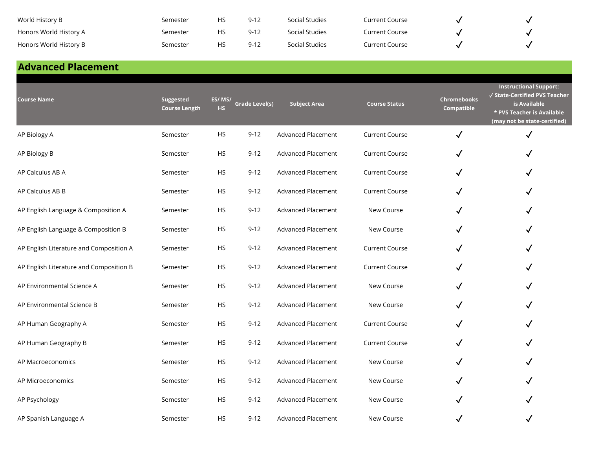| World History B        | Semester | HS | $9 - 12$ | Social Studies | Current Course |  |
|------------------------|----------|----|----------|----------------|----------------|--|
| Honors World History A | Semester | HS | $9 - 12$ | Social Studies | Current Course |  |
| Honors World History B | Semester | HS | $9 - 12$ | Social Studies | Current Course |  |

| <b>Advanced Placement</b>               |                                   |                     |                       |                           |                       |                                  |                                                                                                                                              |
|-----------------------------------------|-----------------------------------|---------------------|-----------------------|---------------------------|-----------------------|----------------------------------|----------------------------------------------------------------------------------------------------------------------------------------------|
| <b>Course Name</b>                      | Suggested<br><b>Course Length</b> | ES/MS/<br><b>HS</b> | <b>Grade Level(s)</b> | <b>Subject Area</b>       | <b>Course Status</b>  | <b>Chromebooks</b><br>Compatible | <b>Instructional Support:</b><br>√ State-Certified PVS Teacher<br>is Available<br>* PVS Teacher is Available<br>(may not be state-certified) |
| AP Biology A                            | Semester                          | <b>HS</b>           | $9 - 12$              | <b>Advanced Placement</b> | <b>Current Course</b> | $\checkmark$                     | $\checkmark$                                                                                                                                 |
| AP Biology B                            | Semester                          | <b>HS</b>           | $9-12$                | <b>Advanced Placement</b> | <b>Current Course</b> | ✓                                | $\checkmark$                                                                                                                                 |
| AP Calculus AB A                        | Semester                          | <b>HS</b>           | $9 - 12$              | Advanced Placement        | <b>Current Course</b> | ✓                                | $\checkmark$                                                                                                                                 |
| AP Calculus AB B                        | Semester                          | <b>HS</b>           | $9 - 12$              | Advanced Placement        | <b>Current Course</b> |                                  | $\checkmark$                                                                                                                                 |
| AP English Language & Composition A     | Semester                          | <b>HS</b>           | $9 - 12$              | <b>Advanced Placement</b> | New Course            |                                  | $\checkmark$                                                                                                                                 |
| AP English Language & Composition B     | Semester                          | <b>HS</b>           | $9 - 12$              | <b>Advanced Placement</b> | New Course            | ✓                                | $\checkmark$                                                                                                                                 |
| AP English Literature and Composition A | Semester                          | <b>HS</b>           | $9 - 12$              | <b>Advanced Placement</b> | <b>Current Course</b> | ✓                                | $\checkmark$                                                                                                                                 |
| AP English Literature and Composition B | Semester                          | <b>HS</b>           | $9 - 12$              | Advanced Placement        | <b>Current Course</b> |                                  | $\checkmark$                                                                                                                                 |
| AP Environmental Science A              | Semester                          | <b>HS</b>           | $9 - 12$              | Advanced Placement        | New Course            |                                  | $\checkmark$                                                                                                                                 |
| AP Environmental Science B              | Semester                          | <b>HS</b>           | $9 - 12$              | <b>Advanced Placement</b> | New Course            |                                  | $\checkmark$                                                                                                                                 |
| AP Human Geography A                    | Semester                          | <b>HS</b>           | $9 - 12$              | <b>Advanced Placement</b> | <b>Current Course</b> | √                                | $\checkmark$                                                                                                                                 |
| AP Human Geography B                    | Semester                          | <b>HS</b>           | $9 - 12$              | Advanced Placement        | <b>Current Course</b> |                                  | $\checkmark$                                                                                                                                 |
| AP Macroeconomics                       | Semester                          | <b>HS</b>           | $9 - 12$              | Advanced Placement        | New Course            |                                  | $\checkmark$                                                                                                                                 |
| AP Microeconomics                       | Semester                          | <b>HS</b>           | $9 - 12$              | <b>Advanced Placement</b> | New Course            |                                  | $\checkmark$                                                                                                                                 |
| AP Psychology                           | Semester                          | <b>HS</b>           | $9 - 12$              | <b>Advanced Placement</b> | New Course            |                                  | $\checkmark$                                                                                                                                 |
| AP Spanish Language A                   | Semester                          | <b>HS</b>           | $9 - 12$              | <b>Advanced Placement</b> | New Course            |                                  |                                                                                                                                              |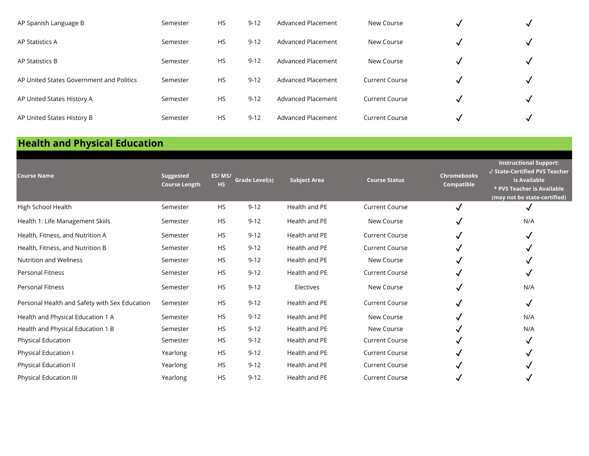| AP Spanish Language B                    | Semester | <b>HS</b> | $9 - 12$ | Advanced Placement | New Course            | √            | M |
|------------------------------------------|----------|-----------|----------|--------------------|-----------------------|--------------|---|
| AP Statistics A                          | Semester | <b>HS</b> | $9 - 12$ | Advanced Placement | New Course            | √            | √ |
| AP Statistics B                          | Semester | <b>HS</b> | $9 - 12$ | Advanced Placement | New Course            | √            |   |
| AP United States Government and Politics | Semester | <b>HS</b> | $9 - 12$ | Advanced Placement | <b>Current Course</b> | $\checkmark$ | √ |
| AP United States History A               | Semester | HS.       | $9 - 12$ | Advanced Placement | <b>Current Course</b> | √            | √ |
| AP United States History B               | Semester | <b>HS</b> | $9 - 12$ | Advanced Placement | <b>Current Course</b> | v            |   |

## **Health and Physical Education**

| <b>Course Name</b>                            | <b>Suggested</b><br><b>Course Length</b> | ES/MS/<br><b>HS</b> | <b>Grade Level(s)</b> | <b>Subject Area</b> | <b>Course Status</b>  | <b>Chromebooks</b><br><b>Compatible</b> | <b>Instructional Support:</b><br>√ State-Certified PVS Teacher<br>is Available<br>* PVS Teacher is Available<br>(may not be state-certified) |
|-----------------------------------------------|------------------------------------------|---------------------|-----------------------|---------------------|-----------------------|-----------------------------------------|----------------------------------------------------------------------------------------------------------------------------------------------|
| High School Health                            | Semester                                 | <b>HS</b>           | $9 - 12$              | Health and PE       | <b>Current Course</b> | √                                       | ✓                                                                                                                                            |
| Health 1: Life Management Skiils              | Semester                                 | HS                  | $9 - 12$              | Health and PE       | New Course            |                                         | N/A                                                                                                                                          |
| Health, Fitness, and Nutrition A              | Semester                                 | <b>HS</b>           | $9 - 12$              | Health and PE       | <b>Current Course</b> | ✓                                       | √                                                                                                                                            |
| Health, Fitness, and Nutrition B              | Semester                                 | HS                  | $9 - 12$              | Health and PE       | <b>Current Course</b> | √                                       | √                                                                                                                                            |
| <b>Nutrition and Wellness</b>                 | Semester                                 | <b>HS</b>           | $9 - 12$              | Health and PE       | New Course            | √                                       | ✓                                                                                                                                            |
| <b>Personal Fitness</b>                       | Semester                                 | <b>HS</b>           | $9 - 12$              | Health and PE       | <b>Current Course</b> | √                                       | ✓                                                                                                                                            |
| <b>Personal Fitness</b>                       | Semester                                 | <b>HS</b>           | $9 - 12$              | Electives           | New Course            | √                                       | N/A                                                                                                                                          |
| Personal Health and Safety with Sex Education | Semester                                 | HS                  | $9 - 12$              | Health and PE       | <b>Current Course</b> |                                         | $\checkmark$                                                                                                                                 |
| Health and Physical Education 1 A             | Semester                                 | <b>HS</b>           | $9 - 12$              | Health and PE       | New Course            |                                         | N/A                                                                                                                                          |
| Health and Physical Education 1 B             | Semester                                 | HS                  | $9 - 12$              | Health and PE       | New Course            | √                                       | N/A                                                                                                                                          |
| Physical Education                            | Semester                                 | HS                  | $9 - 12$              | Health and PE       | <b>Current Course</b> |                                         |                                                                                                                                              |
| Physical Education I                          | Yearlong                                 | HS                  | $9 - 12$              | Health and PE       | <b>Current Course</b> |                                         |                                                                                                                                              |
| Physical Education II                         | Yearlong                                 | HS                  | $9 - 12$              | Health and PE       | <b>Current Course</b> |                                         |                                                                                                                                              |
| Physical Education III                        | Yearlong                                 | <b>HS</b>           | $9 - 12$              | Health and PE       | <b>Current Course</b> |                                         |                                                                                                                                              |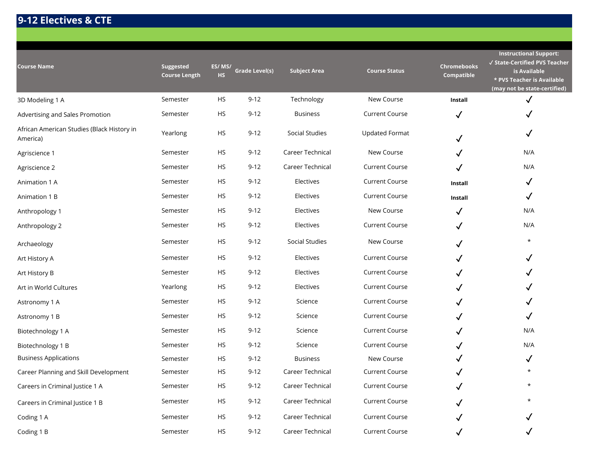## **9-12 Electives & CTE**

| <b>Course Name</b>                                     | Suggested<br><b>Course Length</b> | ES/MS/<br><b>HS</b> | <b>Grade Level(s)</b> | <b>Subject Area</b> | <b>Course Status</b>  | <b>Chromebooks</b><br>Compatible | <b>Instructional Support:</b><br>√ State-Certified PVS Teacher<br>is Available<br>* PVS Teacher is Available<br>(may not be state-certified) |
|--------------------------------------------------------|-----------------------------------|---------------------|-----------------------|---------------------|-----------------------|----------------------------------|----------------------------------------------------------------------------------------------------------------------------------------------|
| 3D Modeling 1 A                                        | Semester                          | <b>HS</b>           | $9 - 12$              | Technology          | New Course            | Install                          | $\checkmark$                                                                                                                                 |
| Advertising and Sales Promotion                        | Semester                          | HS                  | $9 - 12$              | <b>Business</b>     | <b>Current Course</b> | $\checkmark$                     | √                                                                                                                                            |
| African American Studies (Black History in<br>America) | Yearlong                          | HS                  | $9 - 12$              | Social Studies      | <b>Updated Format</b> |                                  | $\checkmark$                                                                                                                                 |
| Agriscience 1                                          | Semester                          | <b>HS</b>           | $9-12$                | Career Technical    | New Course            | $\checkmark$                     | N/A                                                                                                                                          |
| Agriscience 2                                          | Semester                          | HS                  | $9-12$                | Career Technical    | <b>Current Course</b> |                                  | N/A                                                                                                                                          |
| Animation 1 A                                          | Semester                          | HS                  | $9-12$                | Electives           | <b>Current Course</b> | Install                          | $\checkmark$                                                                                                                                 |
| Animation 1 B                                          | Semester                          | HS                  | $9 - 12$              | Electives           | <b>Current Course</b> | Install                          | $\checkmark$                                                                                                                                 |
| Anthropology 1                                         | Semester                          | <b>HS</b>           | $9 - 12$              | Electives           | New Course            | $\checkmark$                     | N/A                                                                                                                                          |
| Anthropology 2                                         | Semester                          | HS                  | $9-12$                | Electives           | <b>Current Course</b> | $\checkmark$                     | N/A                                                                                                                                          |
| Archaeology                                            | Semester                          | HS                  | $9 - 12$              | Social Studies      | New Course            |                                  | $\star$                                                                                                                                      |
| Art History A                                          | Semester                          | HS                  | $9 - 12$              | Electives           | <b>Current Course</b> |                                  | ✓                                                                                                                                            |
| Art History B                                          | Semester                          | HS                  | $9 - 12$              | Electives           | <b>Current Course</b> |                                  | $\checkmark$                                                                                                                                 |
| Art in World Cultures                                  | Yearlong                          | HS                  | $9 - 12$              | Electives           | <b>Current Course</b> |                                  |                                                                                                                                              |
| Astronomy 1 A                                          | Semester                          | HS                  | $9 - 12$              | Science             | <b>Current Course</b> |                                  | ✓                                                                                                                                            |
| Astronomy 1 B                                          | Semester                          | HS                  | $9 - 12$              | Science             | <b>Current Course</b> | $\checkmark$                     | $\checkmark$                                                                                                                                 |
| Biotechnology 1 A                                      | Semester                          | HS                  | $9 - 12$              | Science             | <b>Current Course</b> |                                  | N/A                                                                                                                                          |
| Biotechnology 1 B                                      | Semester                          | HS                  | $9-12$                | Science             | <b>Current Course</b> |                                  | N/A                                                                                                                                          |
| <b>Business Applications</b>                           | Semester                          | <b>HS</b>           | $9-12$                | <b>Business</b>     | New Course            |                                  | √                                                                                                                                            |
| Career Planning and Skill Development                  | Semester                          | HS                  | $9 - 12$              | Career Technical    | <b>Current Course</b> |                                  | $\star$                                                                                                                                      |
| Careers in Criminal Justice 1 A                        | Semester                          | HS                  | $9 - 12$              | Career Technical    | <b>Current Course</b> |                                  | $\star$                                                                                                                                      |
| Careers in Criminal Justice 1 B                        | Semester                          | HS                  | $9 - 12$              | Career Technical    | <b>Current Course</b> |                                  | $\star$                                                                                                                                      |
| Coding 1 A                                             | Semester                          | HS                  | $9 - 12$              | Career Technical    | <b>Current Course</b> |                                  | $\checkmark$                                                                                                                                 |
| Coding 1 B                                             | Semester                          | <b>HS</b>           | $9 - 12$              | Career Technical    | <b>Current Course</b> | $\checkmark$                     | $\checkmark$                                                                                                                                 |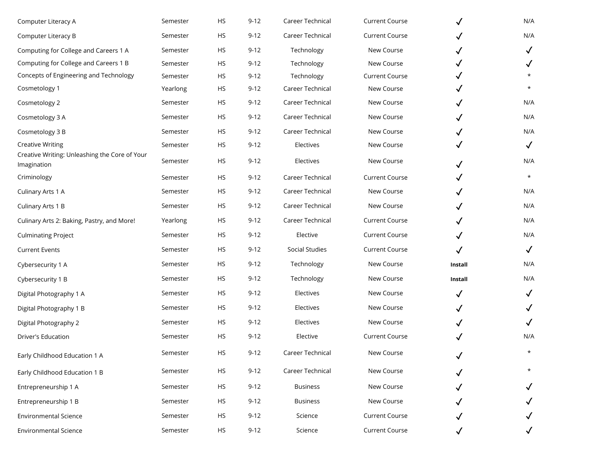| Computer Literacy A                                          | Semester | <b>HS</b>     | $9 - 12$ | Career Technical | <b>Current Course</b> |              | N/A          |
|--------------------------------------------------------------|----------|---------------|----------|------------------|-----------------------|--------------|--------------|
| Computer Literacy B                                          | Semester | <b>HS</b>     | $9 - 12$ | Career Technical | <b>Current Course</b> | $\checkmark$ | N/A          |
| Computing for College and Careers 1 A                        | Semester | <b>HS</b>     | $9 - 12$ | Technology       | New Course            | $\checkmark$ | $\checkmark$ |
| Computing for College and Careers 1 B                        | Semester | <b>HS</b>     | $9 - 12$ | Technology       | New Course            | ✓            | $\checkmark$ |
| Concepts of Engineering and Technology                       | Semester | <b>HS</b>     | $9 - 12$ | Technology       | <b>Current Course</b> |              | $\star$      |
| Cosmetology 1                                                | Yearlong | HS            | $9-12$   | Career Technical | New Course            | $\checkmark$ | $\star$      |
| Cosmetology 2                                                | Semester | <b>HS</b>     | $9 - 12$ | Career Technical | New Course            | $\checkmark$ | N/A          |
| Cosmetology 3 A                                              | Semester | <b>HS</b>     | $9 - 12$ | Career Technical | New Course            | $\checkmark$ | N/A          |
| Cosmetology 3 B                                              | Semester | <b>HS</b>     | $9 - 12$ | Career Technical | New Course            |              | N/A          |
| <b>Creative Writing</b>                                      | Semester | <b>HS</b>     | $9-12$   | Electives        | New Course            |              | $\checkmark$ |
| Creative Writing: Unleashing the Core of Your<br>Imagination | Semester | <b>HS</b>     | $9 - 12$ | Electives        | New Course            | $\checkmark$ | N/A          |
| Criminology                                                  | Semester | <b>HS</b>     | $9-12$   | Career Technical | <b>Current Course</b> | $\checkmark$ | $\star$      |
| Culinary Arts 1 A                                            | Semester | <b>HS</b>     | $9 - 12$ | Career Technical | New Course            |              | N/A          |
| Culinary Arts 1 B                                            | Semester | <b>HS</b>     | $9-12$   | Career Technical | New Course            | $\checkmark$ | N/A          |
| Culinary Arts 2: Baking, Pastry, and More!                   | Yearlong | HS            | $9-12$   | Career Technical | <b>Current Course</b> | ✓            | N/A          |
| <b>Culminating Project</b>                                   | Semester | <b>HS</b>     | $9-12$   | Elective         | <b>Current Course</b> | $\checkmark$ | N/A          |
| <b>Current Events</b>                                        | Semester | <b>HS</b>     | $9-12$   | Social Studies   | <b>Current Course</b> | $\checkmark$ | $\checkmark$ |
| Cybersecurity 1 A                                            | Semester | <b>HS</b>     | $9 - 12$ | Technology       | New Course            | Install      | N/A          |
| Cybersecurity 1 B                                            | Semester | <b>HS</b>     | $9 - 12$ | Technology       | New Course            | Install      | N/A          |
| Digital Photography 1 A                                      | Semester | <b>HS</b>     | $9 - 12$ | Electives        | New Course            | $\checkmark$ | $\checkmark$ |
| Digital Photography 1 B                                      | Semester | <b>HS</b>     | $9 - 12$ | Electives        | New Course            | $\checkmark$ | $\checkmark$ |
| Digital Photography 2                                        | Semester | <b>HS</b>     | $9 - 12$ | Electives        | New Course            |              | $\checkmark$ |
| Driver's Education                                           | Semester | <b>HS</b>     | $9 - 12$ | Elective         | <b>Current Course</b> |              | N/A          |
| Early Childhood Education 1 A                                | Semester | $\mathsf{HS}$ | $9 - 12$ | Career Technical | New Course            |              | $\star$      |
| Early Childhood Education 1 B                                | Semester | <b>HS</b>     | $9 - 12$ | Career Technical | New Course            |              | $\star$      |
| Entrepreneurship 1 A                                         | Semester | <b>HS</b>     | $9 - 12$ | <b>Business</b>  | New Course            |              |              |
| Entrepreneurship 1 B                                         | Semester | HS            | $9-12$   | <b>Business</b>  | New Course            |              |              |
| <b>Environmental Science</b>                                 | Semester | HS            | $9 - 12$ | Science          | <b>Current Course</b> |              |              |
| Environmental Science                                        | Semester | HS            | $9 - 12$ | Science          | <b>Current Course</b> |              | $\checkmark$ |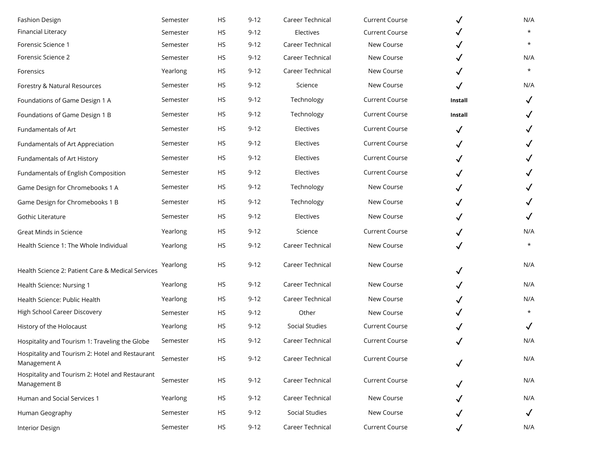| <b>Fashion Design</b>                                           | Semester | <b>HS</b> | $9 - 12$ | Career Technical | <b>Current Course</b> | ✓            | N/A          |
|-----------------------------------------------------------------|----------|-----------|----------|------------------|-----------------------|--------------|--------------|
| Financial Literacy                                              | Semester | <b>HS</b> | $9 - 12$ | Electives        | <b>Current Course</b> |              | $\star$      |
| Forensic Science 1                                              | Semester | <b>HS</b> | $9 - 12$ | Career Technical | New Course            |              | $\star$      |
| Forensic Science 2                                              | Semester | <b>HS</b> | $9 - 12$ | Career Technical | New Course            |              | N/A          |
| Forensics                                                       | Yearlong | <b>HS</b> | $9 - 12$ | Career Technical | New Course            |              | $\star$      |
| Forestry & Natural Resources                                    | Semester | <b>HS</b> | $9 - 12$ | Science          | New Course            | $\checkmark$ | N/A          |
| Foundations of Game Design 1 A                                  | Semester | HS        | $9 - 12$ | Technology       | <b>Current Course</b> | Install      | $\checkmark$ |
| Foundations of Game Design 1 B                                  | Semester | <b>HS</b> | $9 - 12$ | Technology       | <b>Current Course</b> | Install      | $\checkmark$ |
| Fundamentals of Art                                             | Semester | <b>HS</b> | $9 - 12$ | Electives        | <b>Current Course</b> | $\checkmark$ | $\checkmark$ |
| Fundamentals of Art Appreciation                                | Semester | <b>HS</b> | $9 - 12$ | Electives        | <b>Current Course</b> | ✓            | $\checkmark$ |
| Fundamentals of Art History                                     | Semester | HS        | $9 - 12$ | Electives        | <b>Current Course</b> | ✓            | $\checkmark$ |
| Fundamentals of English Composition                             | Semester | <b>HS</b> | $9 - 12$ | Electives        | <b>Current Course</b> | $\checkmark$ | $\checkmark$ |
| Game Design for Chromebooks 1 A                                 | Semester | <b>HS</b> | $9 - 12$ | Technology       | New Course            |              | $\checkmark$ |
| Game Design for Chromebooks 1 B                                 | Semester | <b>HS</b> | $9 - 12$ | Technology       | New Course            | $\checkmark$ | $\checkmark$ |
| Gothic Literature                                               | Semester | <b>HS</b> | $9 - 12$ | Electives        | New Course            | $\checkmark$ | $\checkmark$ |
| Great Minds in Science                                          | Yearlong | <b>HS</b> | $9 - 12$ | Science          | <b>Current Course</b> | $\checkmark$ | N/A          |
| Health Science 1: The Whole Individual                          | Yearlong | <b>HS</b> | $9 - 12$ | Career Technical | New Course            | $\checkmark$ | $\star$      |
| Health Science 2: Patient Care & Medical Services               | Yearlong | <b>HS</b> | $9 - 12$ | Career Technical | New Course            | $\checkmark$ | N/A          |
| Health Science: Nursing 1                                       | Yearlong | <b>HS</b> | $9 - 12$ | Career Technical | New Course            | $\checkmark$ | N/A          |
| Health Science: Public Health                                   | Yearlong | <b>HS</b> | $9 - 12$ | Career Technical | New Course            | $\checkmark$ | N/A          |
| High School Career Discovery                                    | Semester | <b>HS</b> | $9 - 12$ | Other            | New Course            |              | $\star$      |
| History of the Holocaust                                        | Yearlong | <b>HS</b> | $9 - 12$ | Social Studies   | <b>Current Course</b> |              | $\checkmark$ |
| Hospitality and Tourism 1: Traveling the Globe                  | Semester | <b>HS</b> | $9 - 12$ | Career Technical | <b>Current Course</b> |              | N/A          |
| Hospitality and Tourism 2: Hotel and Restaurant<br>Management A | Semester | <b>HS</b> | $9 - 12$ | Career Technical | <b>Current Course</b> |              | N/A          |
| Hospitality and Tourism 2: Hotel and Restaurant<br>Management B | Semester | <b>HS</b> | $9 - 12$ | Career Technical | <b>Current Course</b> |              | N/A          |
| Human and Social Services 1                                     | Yearlong | HS        | $9 - 12$ | Career Technical | New Course            |              | N/A          |
| Human Geography                                                 | Semester | HS        | $9 - 12$ | Social Studies   | New Course            |              | $\checkmark$ |
| Interior Design                                                 | Semester | <b>HS</b> | $9 - 12$ | Career Technical | <b>Current Course</b> | $\checkmark$ | N/A          |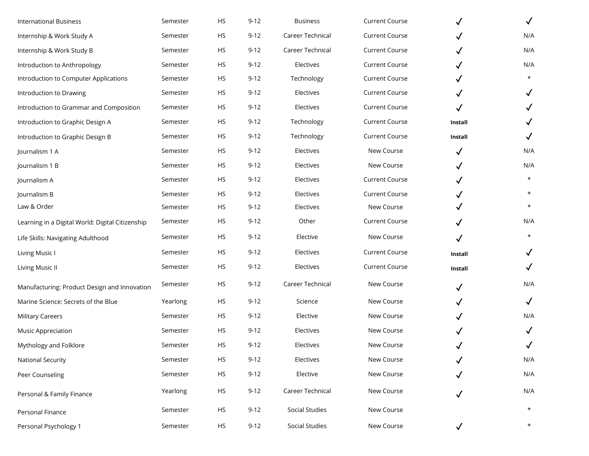| <b>International Business</b>                    | Semester | HS        | $9 - 12$ | <b>Business</b>  | <b>Current Course</b> | $\checkmark$ | $\checkmark$ |
|--------------------------------------------------|----------|-----------|----------|------------------|-----------------------|--------------|--------------|
| Internship & Work Study A                        | Semester | <b>HS</b> | $9 - 12$ | Career Technical | <b>Current Course</b> | $\checkmark$ | N/A          |
| Internship & Work Study B                        | Semester | <b>HS</b> | $9 - 12$ | Career Technical | <b>Current Course</b> | $\checkmark$ | N/A          |
| Introduction to Anthropology                     | Semester | <b>HS</b> | $9 - 12$ | Electives        | <b>Current Course</b> | $\checkmark$ | N/A          |
| Introduction to Computer Applications            | Semester | HS        | $9 - 12$ | Technology       | <b>Current Course</b> |              | $\star$      |
| Introduction to Drawing                          | Semester | HS        | $9 - 12$ | Electives        | <b>Current Course</b> | $\checkmark$ | $\checkmark$ |
| Introduction to Grammar and Composition          | Semester | <b>HS</b> | $9 - 12$ | Electives        | <b>Current Course</b> | $\checkmark$ | $\checkmark$ |
| Introduction to Graphic Design A                 | Semester | HS        | $9 - 12$ | Technology       | <b>Current Course</b> | Install      | $\checkmark$ |
| Introduction to Graphic Design B                 | Semester | HS        | $9 - 12$ | Technology       | <b>Current Course</b> | Install      | $\checkmark$ |
| Journalism 1 A                                   | Semester | <b>HS</b> | $9 - 12$ | Electives        | New Course            | $\checkmark$ | N/A          |
| Journalism 1 B                                   | Semester | <b>HS</b> | $9 - 12$ | Electives        | New Course            | $\checkmark$ | N/A          |
| Journalism A                                     | Semester | <b>HS</b> | $9 - 12$ | Electives        | <b>Current Course</b> | $\checkmark$ | $\star$      |
| Journalism B                                     | Semester | <b>HS</b> | $9 - 12$ | Electives        | <b>Current Course</b> | $\checkmark$ | $\star$      |
| Law & Order                                      | Semester | <b>HS</b> | $9 - 12$ | Electives        | New Course            |              | $\star$      |
| Learning in a Digital World: Digital Citizenship | Semester | <b>HS</b> | $9 - 12$ | Other            | <b>Current Course</b> | $\checkmark$ | N/A          |
| Life Skills: Navigating Adulthood                | Semester | <b>HS</b> | $9 - 12$ | Elective         | New Course            | $\checkmark$ | $\star$      |
| Living Music I                                   | Semester | <b>HS</b> | $9 - 12$ | Electives        | <b>Current Course</b> | Install      | $\checkmark$ |
| Living Music II                                  | Semester | HS        | $9 - 12$ | Electives        | <b>Current Course</b> | Install      | $\checkmark$ |
| Manufacturing: Product Design and Innovation     | Semester | <b>HS</b> | $9 - 12$ | Career Technical | New Course            | $\checkmark$ | N/A          |
| Marine Science: Secrets of the Blue              | Yearlong | <b>HS</b> | $9 - 12$ | Science          | New Course            | $\checkmark$ | $\checkmark$ |
| <b>Military Careers</b>                          | Semester | HS        | $9 - 12$ | Elective         | New Course            | $\checkmark$ | N/A          |
| <b>Music Appreciation</b>                        | Semester | <b>HS</b> | $9 - 12$ | Electives        | New Course            | $\checkmark$ | $\checkmark$ |
| Mythology and Folklore                           | Semester | <b>HS</b> | $9 - 12$ | Electives        | New Course            | $\checkmark$ | $\checkmark$ |
| <b>National Security</b>                         | Semester | <b>HS</b> | $9 - 12$ | Electives        | New Course            |              | N/A          |
| Peer Counseling                                  | Semester | HS        | $9 - 12$ | Elective         | New Course            |              | N/A          |
| Personal & Family Finance                        | Yearlong | <b>HS</b> | $9 - 12$ | Career Technical | New Course            | $\checkmark$ | N/A          |
| Personal Finance                                 | Semester | HS        | $9 - 12$ | Social Studies   | New Course            |              | $\star$      |
| Personal Psychology 1                            | Semester | <b>HS</b> | $9 - 12$ | Social Studies   | New Course            | $\checkmark$ | $\star$      |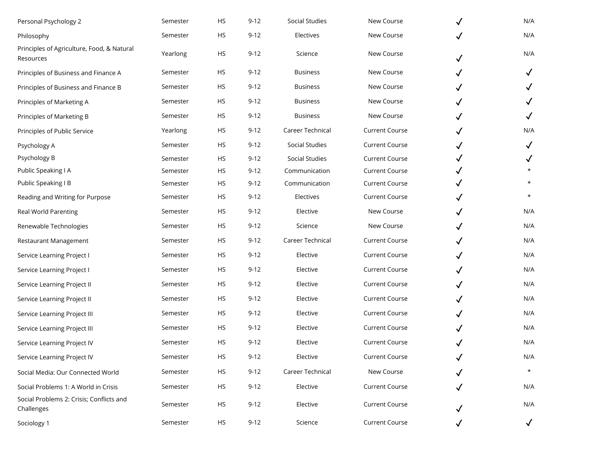| Personal Psychology 2                                   | Semester | <b>HS</b> | $9 - 12$ | Social Studies   | New Course            |              | N/A          |
|---------------------------------------------------------|----------|-----------|----------|------------------|-----------------------|--------------|--------------|
| Philosophy                                              | Semester | HS        | $9 - 12$ | Electives        | New Course            | $\checkmark$ | N/A          |
| Principles of Agriculture, Food, & Natural<br>Resources | Yearlong | HS        | $9 - 12$ | Science          | New Course            | $\checkmark$ | N/A          |
| Principles of Business and Finance A                    | Semester | <b>HS</b> | $9 - 12$ | <b>Business</b>  | New Course            | $\checkmark$ | $\checkmark$ |
| Principles of Business and Finance B                    | Semester | HS        | $9 - 12$ | <b>Business</b>  | New Course            | $\checkmark$ | $\checkmark$ |
| Principles of Marketing A                               | Semester | <b>HS</b> | $9 - 12$ | <b>Business</b>  | New Course            | ✓            | $\checkmark$ |
| Principles of Marketing B                               | Semester | <b>HS</b> | $9 - 12$ | <b>Business</b>  | New Course            | $\checkmark$ | $\checkmark$ |
| Principles of Public Service                            | Yearlong | <b>HS</b> | $9 - 12$ | Career Technical | <b>Current Course</b> | $\checkmark$ | N/A          |
| Psychology A                                            | Semester | <b>HS</b> | $9 - 12$ | Social Studies   | <b>Current Course</b> |              | $\checkmark$ |
| Psychology B                                            | Semester | <b>HS</b> | $9 - 12$ | Social Studies   | <b>Current Course</b> |              | $\checkmark$ |
| Public Speaking I A                                     | Semester | <b>HS</b> | $9 - 12$ | Communication    | <b>Current Course</b> |              | $\star$      |
| Public Speaking I B                                     | Semester | <b>HS</b> | $9 - 12$ | Communication    | <b>Current Course</b> |              | $\star$      |
| Reading and Writing for Purpose                         | Semester | <b>HS</b> | $9 - 12$ | Electives        | <b>Current Course</b> | $\checkmark$ | $\star$      |
| Real World Parenting                                    | Semester | <b>HS</b> | $9 - 12$ | Elective         | New Course            | $\checkmark$ | N/A          |
| Renewable Technologies                                  | Semester | <b>HS</b> | $9 - 12$ | Science          | New Course            | $\checkmark$ | N/A          |
| <b>Restaurant Management</b>                            | Semester | <b>HS</b> | $9 - 12$ | Career Technical | <b>Current Course</b> | $\checkmark$ | N/A          |
| Service Learning Project I                              | Semester | <b>HS</b> | $9 - 12$ | Elective         | <b>Current Course</b> | $\checkmark$ | N/A          |
| Service Learning Project I                              | Semester | <b>HS</b> | $9 - 12$ | Elective         | <b>Current Course</b> | $\checkmark$ | N/A          |
| Service Learning Project II                             | Semester | HS        | $9 - 12$ | Elective         | <b>Current Course</b> | $\checkmark$ | N/A          |
| Service Learning Project II                             | Semester | <b>HS</b> | $9 - 12$ | Elective         | <b>Current Course</b> | $\checkmark$ | N/A          |
| Service Learning Project III                            | Semester | HS        | $9 - 12$ | Elective         | <b>Current Course</b> | $\checkmark$ | N/A          |
| Service Learning Project III                            | Semester | HS        | $9 - 12$ | Elective         | <b>Current Course</b> |              | N/A          |
| Service Learning Project IV                             | Semester | HS        | $9 - 12$ | Elective         | <b>Current Course</b> | $\checkmark$ | N/A          |
| Service Learning Project IV                             | Semester | HS        | $9 - 12$ | Elective         | <b>Current Course</b> |              | N/A          |
| Social Media: Our Connected World                       | Semester | HS        | $9 - 12$ | Career Technical | New Course            |              | $\star$      |
| Social Problems 1: A World in Crisis                    | Semester | HS        | $9 - 12$ | Elective         | <b>Current Course</b> |              | N/A          |
| Social Problems 2: Crisis; Conflicts and<br>Challenges  | Semester | HS        | $9 - 12$ | Elective         | <b>Current Course</b> |              | N/A          |
| Sociology 1                                             | Semester | HS        | $9 - 12$ | Science          | <b>Current Course</b> | ✓            | $\sqrt{2}$   |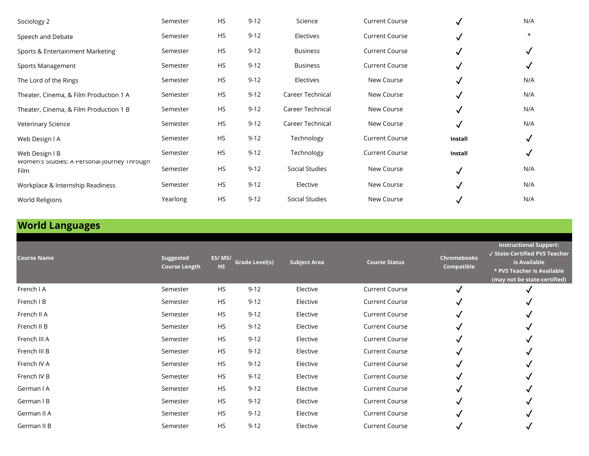| Sociology 2                                         | Semester | HS        | $9 - 12$ | Science          | <b>Current Course</b> |         | N/A     |
|-----------------------------------------------------|----------|-----------|----------|------------------|-----------------------|---------|---------|
| Speech and Debate                                   | Semester | <b>HS</b> | $9 - 12$ | Electives        | <b>Current Course</b> | √       | $\star$ |
| Sports & Entertainment Marketing                    | Semester | HS        | $9-12$   | <b>Business</b>  | <b>Current Course</b> | √       |         |
| Sports Management                                   | Semester | <b>HS</b> | $9 - 12$ | <b>Business</b>  | <b>Current Course</b> |         |         |
| The Lord of the Rings                               | Semester | HS        | $9 - 12$ | Electives        | New Course            | √       | N/A     |
| Theater, Cinema, & Film Production 1 A              | Semester | <b>HS</b> | $9-12$   | Career Technical | New Course            | √       | N/A     |
| Theater, Cinema, & Film Production 1 B              | Semester | <b>HS</b> | $9 - 12$ | Career Technical | New Course            | ✓       | N/A     |
| Veterinary Science                                  | Semester | <b>HS</b> | $9 - 12$ | Career Technical | New Course            |         | N/A     |
| Web Design I A                                      | Semester | <b>HS</b> | $9 - 12$ | Technology       | <b>Current Course</b> | Install | √       |
| Web Design I B                                      | Semester | <b>HS</b> | $9-12$   | Technology       | <b>Current Course</b> | Install |         |
| women's Studies: A Personal Journey Through<br>Film | Semester | <b>HS</b> | $9 - 12$ | Social Studies   | New Course            | √       | N/A     |
| Workplace & Internship Readiness                    | Semester | <b>HS</b> | $9 - 12$ | Elective         | New Course            |         | N/A     |
| World Religions                                     | Yearlong | <b>HS</b> | $9 - 12$ | Social Studies   | New Course            |         | N/A     |

## **World Languages**

| <b>Course Name</b> | Suggested<br><b>Course Length</b> | ES/MS/<br><b>HS</b> | <b>Grade Level(s)</b> | <b>Subject Area</b> | <b>Course Status</b>  | <b>Chromebooks</b><br><b>Compatible</b> | <b>Instructional Support:</b><br>√ State-Certified PVS Teacher<br>is Available<br>* PVS Teacher is Available<br>(may not be state-certified) |
|--------------------|-----------------------------------|---------------------|-----------------------|---------------------|-----------------------|-----------------------------------------|----------------------------------------------------------------------------------------------------------------------------------------------|
| French I A         | Semester                          | <b>HS</b>           | $9 - 12$              | Elective            | <b>Current Course</b> |                                         |                                                                                                                                              |
| French I B         | Semester                          | <b>HS</b>           | $9 - 12$              | Elective            | <b>Current Course</b> | √                                       |                                                                                                                                              |
| French II A        | Semester                          | <b>HS</b>           | $9 - 12$              | Elective            | <b>Current Course</b> | √                                       |                                                                                                                                              |
| French II B        | Semester                          | <b>HS</b>           | $9 - 12$              | Elective            | <b>Current Course</b> | √                                       |                                                                                                                                              |
| French III A       | Semester                          | <b>HS</b>           | $9 - 12$              | Elective            | <b>Current Course</b> | ✓                                       |                                                                                                                                              |
| French III B       | Semester                          | <b>HS</b>           | $9 - 12$              | Elective            | <b>Current Course</b> | √                                       |                                                                                                                                              |
| French IV A        | Semester                          | <b>HS</b>           | $9 - 12$              | Elective            | <b>Current Course</b> | √                                       |                                                                                                                                              |
| French IV B        | Semester                          | <b>HS</b>           | $9 - 12$              | Elective            | <b>Current Course</b> | √                                       |                                                                                                                                              |
| German I A         | Semester                          | <b>HS</b>           | $9 - 12$              | Elective            | <b>Current Course</b> | ✓                                       |                                                                                                                                              |
| German I B         | Semester                          | <b>HS</b>           | $9-12$                | Elective            | <b>Current Course</b> | √                                       |                                                                                                                                              |
| German II A        | Semester                          | <b>HS</b>           | $9 - 12$              | Elective            | <b>Current Course</b> |                                         | √                                                                                                                                            |
| German II B        | Semester                          | <b>HS</b>           | $9 - 12$              | Elective            | <b>Current Course</b> |                                         |                                                                                                                                              |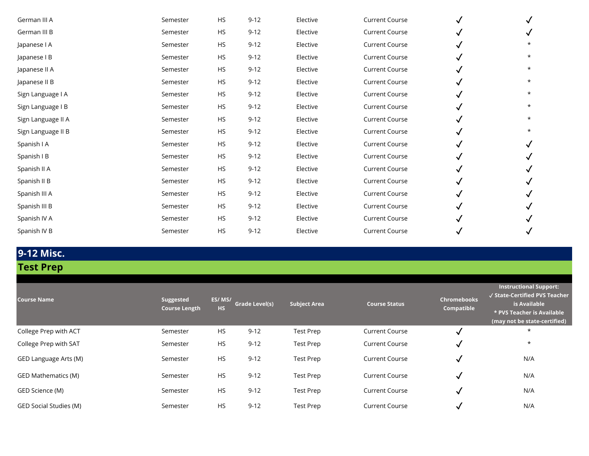| German III A       | Semester | <b>HS</b> | $9-12$   | Elective | <b>Current Course</b> |   |          |
|--------------------|----------|-----------|----------|----------|-----------------------|---|----------|
| German III B       | Semester | <b>HS</b> | $9 - 12$ | Elective | <b>Current Course</b> |   |          |
| Japanese I A       | Semester | HS        | $9 - 12$ | Elective | <b>Current Course</b> | ✓ | $^\star$ |
| Japanese I B       | Semester | <b>HS</b> | $9 - 12$ | Elective | <b>Current Course</b> |   | $^\star$ |
| Japanese II A      | Semester | <b>HS</b> | $9 - 12$ | Elective | <b>Current Course</b> |   | $^\star$ |
| Japanese II B      | Semester | <b>HS</b> | $9-12$   | Elective | <b>Current Course</b> |   | $\star$  |
| Sign Language I A  | Semester | <b>HS</b> | $9 - 12$ | Elective | <b>Current Course</b> |   | $\star$  |
| Sign Language I B  | Semester | <b>HS</b> | $9 - 12$ | Elective | <b>Current Course</b> |   | $\star$  |
| Sign Language II A | Semester | <b>HS</b> | $9 - 12$ | Elective | <b>Current Course</b> |   | $\star$  |
| Sign Language II B | Semester | <b>HS</b> | $9 - 12$ | Elective | <b>Current Course</b> |   | $\star$  |
| Spanish I A        | Semester | <b>HS</b> | $9 - 12$ | Elective | <b>Current Course</b> |   |          |
| Spanish I B        | Semester | HS        | $9 - 12$ | Elective | <b>Current Course</b> |   |          |
| Spanish II A       | Semester | <b>HS</b> | $9 - 12$ | Elective | <b>Current Course</b> | ✓ |          |
| Spanish II B       | Semester | <b>HS</b> | $9 - 12$ | Elective | <b>Current Course</b> | ✓ |          |
| Spanish III A      | Semester | <b>HS</b> | $9 - 12$ | Elective | <b>Current Course</b> |   |          |
| Spanish III B      | Semester | <b>HS</b> | $9 - 12$ | Elective | <b>Current Course</b> |   |          |
| Spanish IV A       | Semester | <b>HS</b> | $9 - 12$ | Elective | <b>Current Course</b> |   |          |
| Spanish IV B       | Semester | <b>HS</b> | $9 - 12$ | Elective | <b>Current Course</b> |   |          |

## **9-12 Misc.**

**Test Prep**

| <b>Course Name</b>            | Suggested<br><b>Course Length</b> | ES/MS/<br><b>HS</b> | <b>Grade Level(s)</b> | <b>Subject Area</b> | <b>Course Status</b>  | <b>Chromebooks</b><br>Compatible | <b>Instructional Support:</b><br>√ State-Certified PVS Teacher<br>is Available<br>* PVS Teacher is Available<br>(may not be state-certified) |
|-------------------------------|-----------------------------------|---------------------|-----------------------|---------------------|-----------------------|----------------------------------|----------------------------------------------------------------------------------------------------------------------------------------------|
| College Prep with ACT         | Semester                          | <b>HS</b>           | $9 - 12$              | Test Prep           | <b>Current Course</b> | √                                | $\star$                                                                                                                                      |
| College Prep with SAT         | Semester                          | <b>HS</b>           | $9 - 12$              | Test Prep           | <b>Current Course</b> | √                                | $\star$                                                                                                                                      |
| GED Language Arts (M)         | Semester                          | <b>HS</b>           | $9 - 12$              | Test Prep           | <b>Current Course</b> | √                                | N/A                                                                                                                                          |
| <b>GED Mathematics (M)</b>    | Semester                          | <b>HS</b>           | $9 - 12$              | Test Prep           | <b>Current Course</b> | $\checkmark$                     | N/A                                                                                                                                          |
| GED Science (M)               | Semester                          | <b>HS</b>           | $9 - 12$              | Test Prep           | <b>Current Course</b> | √                                | N/A                                                                                                                                          |
| <b>GED Social Studies (M)</b> | Semester                          | <b>HS</b>           | $9 - 12$              | <b>Test Prep</b>    | <b>Current Course</b> | √                                | N/A                                                                                                                                          |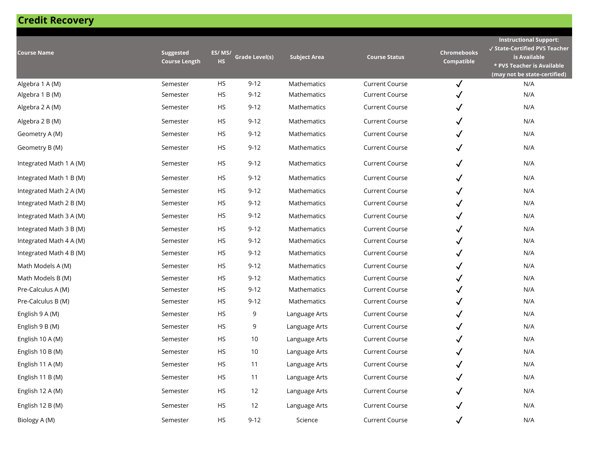| <b>Credit Recovery</b> |
|------------------------|
|------------------------|

| <b>Course Name</b>      | Suggested<br><b>Course Length</b> | ES/MS/<br><b>HS</b> | Grade Level(s) | <b>Subject Area</b> | <b>Course Status</b>  | <b>Chromebooks</b><br>Compatible | <b>Instructional Support:</b><br>$\checkmark$ State-Certified PVS Teacher<br>is Available<br>* PVS Teacher is Available<br>(may not be state-certified) |
|-------------------------|-----------------------------------|---------------------|----------------|---------------------|-----------------------|----------------------------------|---------------------------------------------------------------------------------------------------------------------------------------------------------|
| Algebra 1 A (M)         | Semester                          | HS                  | $9 - 12$       | <b>Mathematics</b>  | <b>Current Course</b> | $\checkmark$                     | N/A                                                                                                                                                     |
| Algebra 1 B (M)         | Semester                          | <b>HS</b>           | $9 - 12$       | Mathematics         | <b>Current Course</b> | ✓                                | N/A                                                                                                                                                     |
| Algebra 2 A (M)         | Semester                          | HS                  | $9 - 12$       | Mathematics         | <b>Current Course</b> | ✓                                | N/A                                                                                                                                                     |
| Algebra 2 B (M)         | Semester                          | HS                  | $9 - 12$       | Mathematics         | <b>Current Course</b> | $\checkmark$                     | N/A                                                                                                                                                     |
| Geometry A (M)          | Semester                          | <b>HS</b>           | $9 - 12$       | Mathematics         | <b>Current Course</b> | ✓                                | N/A                                                                                                                                                     |
| Geometry B (M)          | Semester                          | HS                  | $9 - 12$       | Mathematics         | <b>Current Course</b> | $\checkmark$                     | N/A                                                                                                                                                     |
| Integrated Math 1 A (M) | Semester                          | HS                  | $9-12$         | Mathematics         | <b>Current Course</b> | $\checkmark$                     | N/A                                                                                                                                                     |
| Integrated Math 1 B (M) | Semester                          | HS                  | $9 - 12$       | Mathematics         | <b>Current Course</b> | ✓                                | N/A                                                                                                                                                     |
| Integrated Math 2 A (M) | Semester                          | HS                  | $9-12$         | Mathematics         | <b>Current Course</b> | ✓                                | N/A                                                                                                                                                     |
| Integrated Math 2 B (M) | Semester                          | <b>HS</b>           | $9 - 12$       | Mathematics         | <b>Current Course</b> |                                  | N/A                                                                                                                                                     |
| Integrated Math 3 A (M) | Semester                          | HS                  | $9 - 12$       | Mathematics         | <b>Current Course</b> |                                  | N/A                                                                                                                                                     |
| Integrated Math 3 B (M) | Semester                          | <b>HS</b>           | $9 - 12$       | Mathematics         | <b>Current Course</b> | ✓                                | N/A                                                                                                                                                     |
| Integrated Math 4 A (M) | Semester                          | <b>HS</b>           | $9 - 12$       | Mathematics         | <b>Current Course</b> |                                  | N/A                                                                                                                                                     |
| Integrated Math 4 B (M) | Semester                          | HS                  | $9 - 12$       | Mathematics         | <b>Current Course</b> |                                  | N/A                                                                                                                                                     |
| Math Models A (M)       | Semester                          | <b>HS</b>           | $9 - 12$       | Mathematics         | <b>Current Course</b> | √                                | N/A                                                                                                                                                     |
| Math Models B (M)       | Semester                          | <b>HS</b>           | $9 - 12$       | Mathematics         | <b>Current Course</b> |                                  | N/A                                                                                                                                                     |
| Pre-Calculus A (M)      | Semester                          | HS                  | $9-12$         | Mathematics         | <b>Current Course</b> |                                  | N/A                                                                                                                                                     |
| Pre-Calculus B (M)      | Semester                          | <b>HS</b>           | $9 - 12$       | Mathematics         | <b>Current Course</b> |                                  | N/A                                                                                                                                                     |
| English 9 A (M)         | Semester                          | HS                  | 9              | Language Arts       | <b>Current Course</b> |                                  | N/A                                                                                                                                                     |
| English 9 B (M)         | Semester                          | <b>HS</b>           | 9              | Language Arts       | <b>Current Course</b> | √                                | N/A                                                                                                                                                     |
| English 10 A (M)        | Semester                          | <b>HS</b>           | 10             | Language Arts       | <b>Current Course</b> |                                  | N/A                                                                                                                                                     |
| English 10 B (M)        | Semester                          | HS                  | 10             | Language Arts       | <b>Current Course</b> |                                  | N/A                                                                                                                                                     |
| English 11 A (M)        | Semester                          | <b>HS</b>           | 11             | Language Arts       | <b>Current Course</b> | √                                | N/A                                                                                                                                                     |
| English 11 B (M)        | Semester                          | HS                  | 11             | Language Arts       | <b>Current Course</b> |                                  | N/A                                                                                                                                                     |
| English 12 A (M)        | Semester                          | $\mathsf{HS}$       | 12             | Language Arts       | <b>Current Course</b> |                                  | N/A                                                                                                                                                     |
| English 12 B (M)        | Semester                          | $\mathsf{HS}$       | 12             | Language Arts       | <b>Current Course</b> |                                  | N/A                                                                                                                                                     |
| Biology A (M)           | Semester                          | HS                  | $9 - 12$       | Science             | <b>Current Course</b> | $\checkmark$                     | N/A                                                                                                                                                     |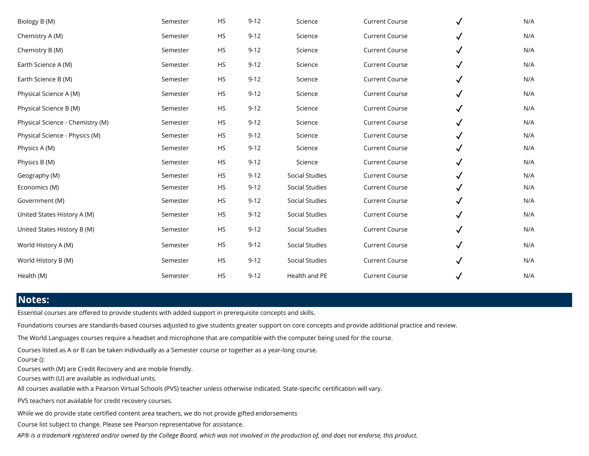| Biology B (M)                    | Semester | <b>HS</b> | $9 - 12$ | Science               | <b>Current Course</b> |              | N/A |
|----------------------------------|----------|-----------|----------|-----------------------|-----------------------|--------------|-----|
| Chemistry A (M)                  | Semester | <b>HS</b> | $9 - 12$ | Science               | <b>Current Course</b> | $\checkmark$ | N/A |
| Chemistry B (M)                  | Semester | <b>HS</b> | $9 - 12$ | Science               | <b>Current Course</b> | $\checkmark$ | N/A |
| Earth Science A (M)              | Semester | <b>HS</b> | $9 - 12$ | Science               | <b>Current Course</b> | $\checkmark$ | N/A |
| Earth Science B (M)              | Semester | <b>HS</b> | $9 - 12$ | Science               | <b>Current Course</b> | $\checkmark$ | N/A |
| Physical Science A (M)           | Semester | <b>HS</b> | $9 - 12$ | Science               | <b>Current Course</b> | $\checkmark$ | N/A |
| Physical Science B (M)           | Semester | <b>HS</b> | $9 - 12$ | Science               | <b>Current Course</b> | $\checkmark$ | N/A |
| Physical Science - Chemistry (M) | Semester | <b>HS</b> | $9 - 12$ | Science               | <b>Current Course</b> | $\checkmark$ | N/A |
| Physical Science - Physics (M)   | Semester | <b>HS</b> | $9 - 12$ | Science               | <b>Current Course</b> | $\checkmark$ | N/A |
| Physics A (M)                    | Semester | HS        | $9 - 12$ | Science               | <b>Current Course</b> | $\checkmark$ | N/A |
| Physics B (M)                    | Semester | <b>HS</b> | $9 - 12$ | Science               | <b>Current Course</b> | $\checkmark$ | N/A |
| Geography (M)                    | Semester | <b>HS</b> | $9 - 12$ | <b>Social Studies</b> | <b>Current Course</b> | $\checkmark$ | N/A |
| Economics (M)                    | Semester | <b>HS</b> | $9 - 12$ | <b>Social Studies</b> | <b>Current Course</b> | $\checkmark$ | N/A |
| Government (M)                   | Semester | <b>HS</b> | $9 - 12$ | Social Studies        | <b>Current Course</b> | $\checkmark$ | N/A |
| United States History A (M)      | Semester | <b>HS</b> | $9 - 12$ | Social Studies        | <b>Current Course</b> | $\checkmark$ | N/A |
| United States History B (M)      | Semester | <b>HS</b> | $9 - 12$ | Social Studies        | <b>Current Course</b> | $\checkmark$ | N/A |
| World History A (M)              | Semester | <b>HS</b> | $9 - 12$ | Social Studies        | <b>Current Course</b> | $\checkmark$ | N/A |
| World History B (M)              | Semester | <b>HS</b> | $9 - 12$ | Social Studies        | <b>Current Course</b> | $\checkmark$ | N/A |
| Health (M)                       | Semester | <b>HS</b> | $9 - 12$ | Health and PE         | <b>Current Course</b> | $\checkmark$ | N/A |

#### **Notes:**

Essential courses are offered to provide students with added support in prerequisite concepts and skills.

Foundations courses are standards-based courses adjusted to give students greater support on core concepts and provide additional practice and review.

The World Languages courses require a headset and microphone that are compatible with the computer being used for the course.

Courses listed as A or B can be taken individually as a Semester course or together as a year-long course.

Course ():

Courses with (M) are Credit Recovery and are mobile friendly.

Courses with (U) are available as individual units.

All courses available with a Pearson Virtual Schools (PVS) teacher unless otherwise indicated. State-specific certification will vary.

PVS teachers not available for credit recovery courses.

While we do provide state certified content area teachers, we do not provide gifted endorsements

Course list subject to change. Please see Pearson representative for assistance.

*AP® is a trademark registered and/or owned by the College Board, which was not involved in the production of, and does not endorse, this product.*